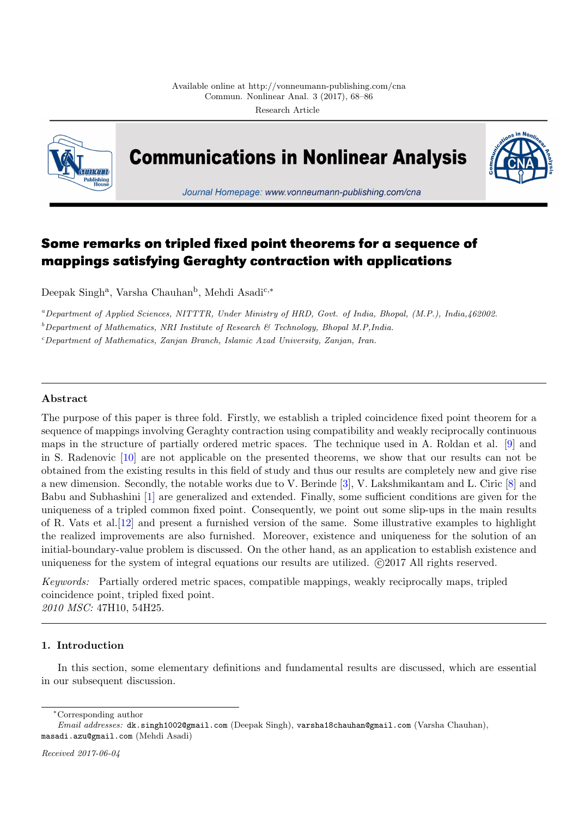<span id="page-0-0"></span>

**Communications in Nonlinear Analysis** 



Journal Homepage: www.vonneumann-publishing.com/cna

# **Some remarks on tripled fixed point theorems for a sequence of mappings satisfying Geraghty contraction with applications**

Deepak Singh<sup>a</sup>, Varsha Chauhan<sup>b</sup>, Mehdi Asadi<sup>c,</sup>\*

*<sup>a</sup>Department of Applied Sciences, NITTTR, Under Ministry of HRD, Govt. of India, Bhopal, (M.P.), India,462002.*

*<sup>b</sup>Department of Mathematics, NRI Institute of Research & Technology, Bhopal M.P,India.*

*<sup>c</sup>Department of Mathematics, Zanjan Branch, Islamic Azad University, Zanjan, Iran.*

# **Abstract**

The purpose of this paper is three fold. Firstly, we establish a tripled coincidence fixed point theorem for a sequence of mappings involving Geraghty contraction using compatibility and weakly reciprocally continuous maps in the structure of partially ordered metric spaces. The technique used in A. Roldan et al. [9] and in S. Radenovic [10] are not applicable on the presented theorems, we show that our results can not be obtained from the existing results in this field of study and thus our results are completely new and give rise a new dimension. Secondly, the notable works due to V. Berinde [3], V. Lakshmikantam and L. Ciric [8] and Babu and Subhashini [1] are generalized and extended. Finally, some sufficient conditions are given [fo](#page-18-0)r the uniqueness of a t[ripl](#page-18-1)ed common fixed point. Consequently, we point out some slip-ups in the main results of R. Vats et al.[12] and present a furnished version of the same. Some illustrative examples to highlight the realized improvements are also furnished. Moreover, existe[nc](#page-18-2)e and uniqueness for the solution [o](#page-18-3)f an initial-boundary-value [pr](#page-18-4)oblem is discussed. On the other hand, as an application to establish existence and uniqueness for the system of integral equations our results are utilized. *<i><u>C</u>*(2017 All rights reserved.

*Keywords:* Partially ordered metric spaces, compatible mappings, weakly reciprocally maps, tripled coincidence point, tripled fixed point. *2010 MSC:* 47H10, 54H25.

# **1. Introduction**

In this section, some elementary definitions and fundamental results are discussed, which are essential in our subsequent discussion.

*<sup>∗</sup>*Corresponding author

<span id="page-0-1"></span>*Email addresses:* dk.singh1002@gmail.com (Deepak Singh), varsha18chauhan@gmail.com (Varsha Chauhan), masadi.azu@gmail.com (Mehdi Asadi)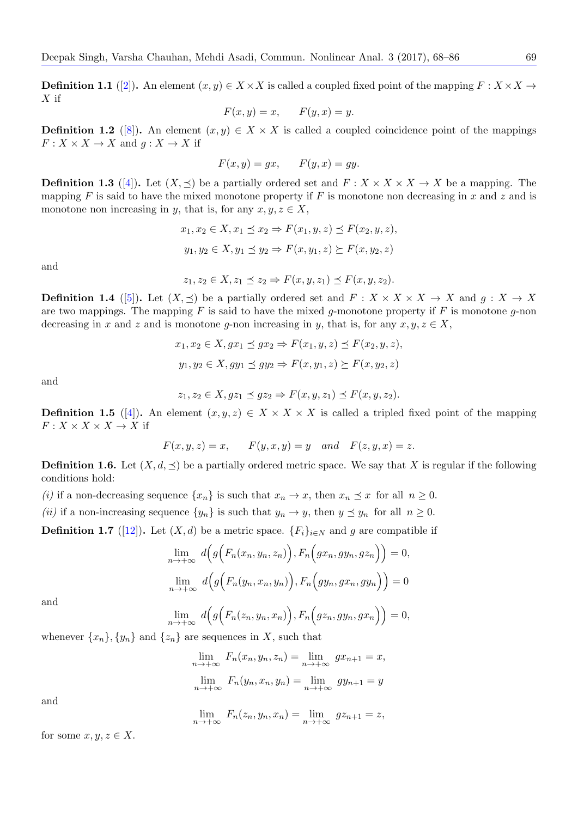**Definition 1.1** ([2]). An element  $(x, y) \in X \times X$  is called a coupled fixed point of the mapping  $F : X \times X \rightarrow Y$ *X* if

$$
F(x, y) = x, \qquad F(y, x) = y.
$$

**Definition 1.2** [\(\[8](#page-18-5)]). An element  $(x, y) \in X \times X$  is called a coupled coincidence point of the mappings  $F: X \times X \to X$  and  $g: X \to X$  if

$$
F(x, y) = gx, \qquad F(y, x) = gy.
$$

<span id="page-1-3"></span>**Definition 1.3** ([[4\]](#page-18-3)). Let  $(X, \preceq)$  be a partially ordered set and  $F: X \times X \times X \to X$  be a mapping. The mapping *F* is said to have the mixed monotone property if *F* is monotone non decreasing in *x* and *z* and is monotone non increasing in *y*, that is, for any  $x, y, z \in X$ ,

$$
x_1, x_2 \in X, x_1 \preceq x_2 \Rightarrow F(x_1, y, z) \preceq F(x_2, y, z),
$$
  

$$
y_1, y_2 \in X, y_1 \preceq y_2 \Rightarrow F(x, y_1, z) \succeq F(x, y_2, z)
$$

<span id="page-1-0"></span>and

$$
z_1, z_2 \in X, z_1 \preceq z_2 \Rightarrow F(x, y, z_1) \preceq F(x, y, z_2).
$$

**Definition 1.4** ([5]). Let  $(X, \preceq)$  be a partially ordered set and  $F : X \times X \times X \to X$  and  $g : X \to X$ are two mappings. The mapping *F* is said to have the mixed *g*-monotone property if *F* is monotone *g*-non decreasing in *x* and *z* and is monotone *g*-non increasing in *y*, that is, for any  $x, y, z \in X$ ,

$$
x_1, x_2 \in X, gx_1 \preceq gx_2 \Rightarrow F(x_1, y, z) \preceq F(x_2, y, z),
$$
  

$$
y_1, y_2 \in X, gy_1 \preceq gy_2 \Rightarrow F(x, y_1, z) \succeq F(x, y_2, z)
$$

<span id="page-1-2"></span>and

$$
z_1, z_2 \in X, gz_1 \preceq gz_2 \Rightarrow F(x, y, z_1) \preceq F(x, y, z_2).
$$

**Definition 1.5** ([4]). An element  $(x, y, z) \in X \times X \times X$  is called a tripled fixed point of the mapping  $F: X \times X \times X \to X$  if

$$
F(x, y, z) = x, \qquad F(y, x, y) = y \quad and \quad F(z, y, x) = z.
$$

<span id="page-1-1"></span>**Definition 1.6.** [Let](#page-18-6)  $(X, d, \preceq)$  be a partially ordered metric space. We say that X is regular if the following conditions hold:

*(i)* if a non-decreasing sequence  $\{x_n\}$  is such that  $x_n \to x$ , then  $x_n \leq x$  for all  $n \geq 0$ .

*(ii)* if a non-increasing sequence  $\{y_n\}$  is such that  $y_n \to y$ , then  $y \leq y_n$  for all  $n \geq 0$ .

**Definition 1.7** ([12]). Let  $(X, d)$  be a metric space.  ${F_i}_{i \in N}$  and *g* are compatible if

$$
\lim_{n \to +\infty} d(g(F_n(x_n, y_n, z_n)), F_n(gx_n, gy_n, gz_n)) = 0,
$$
  

$$
\lim_{n \to +\infty} d(g(F_n(y_n, x_n, y_n)), F_n(gy_n, gx_n, gy_n)) = 0
$$

and

$$
\lim_{n \to +\infty} d(g(F_n(z_n, y_n, x_n)), F_n(gz_n, gy_n, gx_n)) = 0,
$$

whenever  $\{x_n\}$ ,  $\{y_n\}$  and  $\{z_n\}$  are sequences in *X*, such that

$$
\lim_{n \to +\infty} F_n(x_n, y_n, z_n) = \lim_{n \to +\infty} gx_{n+1} = x,
$$
  

$$
\lim_{n \to +\infty} F_n(y_n, x_n, y_n) = \lim_{n \to +\infty} gy_{n+1} = y
$$

and

$$
\lim_{n \to +\infty} F_n(z_n, y_n, x_n) = \lim_{n \to +\infty} g z_{n+1} = z,
$$

for some  $x, y, z \in X$ .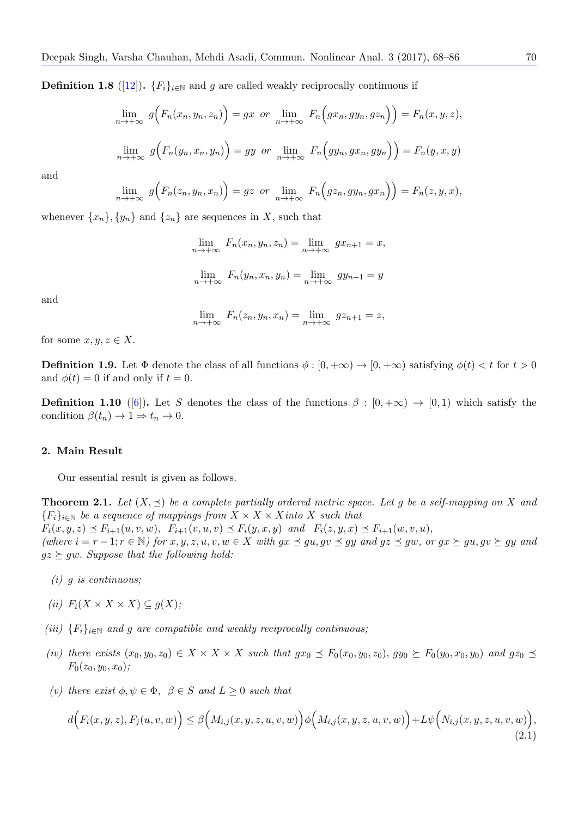**Definition 1.8** ([12]).  $\{F_i\}_{i\in\mathbb{N}}$  and *g* are called weakly reciprocally continuous if

$$
\lim_{n \to +\infty} g(F_n(x_n, y_n, z_n)) = gx \text{ or } \lim_{n \to +\infty} F_n\Big(gx_n, gy_n, gz_n\Big)\Big) = F_n(x, y, z),
$$
  

$$
\lim_{n \to +\infty} g\Big(F_n(y_n, x_n, y_n)\Big) = gy \text{ or } \lim_{n \to +\infty} F_n\Big(gy_n, gx_n, gy_n\Big)\Big) = F_n(y, x, y)
$$

and

$$
\lim_{n \to +\infty} g(F_n(z_n, y_n, x_n)) = gz \text{ or } \lim_{n \to +\infty} F_n(gz_n, gy_n, gx_n) = F_n(z, y, x),
$$

whenever  $\{x_n\}$ ,  $\{y_n\}$  and  $\{z_n\}$  are sequences in *X*, such that

$$
\lim_{n \to +\infty} F_n(x_n, y_n, z_n) = \lim_{n \to +\infty} gx_{n+1} = x,
$$
  

$$
\lim_{n \to +\infty} F_n(y_n, x_n, y_n) = \lim_{n \to +\infty} gy_{n+1} = y
$$

and

$$
\lim_{n \to +\infty} F_n(z_n, y_n, x_n) = \lim_{n \to +\infty} g z_{n+1} = z,
$$

for some  $x, y, z \in X$ .

**Definition 1.9.** Let  $\Phi$  denote the class of all functions  $\phi : [0, +\infty) \to [0, +\infty)$  satisfying  $\phi(t) < t$  for  $t > 0$ and  $\phi(t) = 0$  if and only if  $t = 0$ .

**Definition 1.10** ([6]). Let *S* denotes the class of the functions  $\beta : [0, +\infty) \to [0, 1]$  which satisfy the condition  $\beta(t_n) \to 1 \Rightarrow t_n \to 0$ .

#### <span id="page-2-2"></span>**2. Main Result**

Our essential result is given as follows.

<span id="page-2-1"></span>**Theorem 2.1.** Let  $(X, \preceq)$  be a complete partially ordered metric space. Let g be a self-mapping on X and  ${F_i}_{i \in \mathbb{N}}$  *be a sequence of mappings from*  $X \times X \times X$  *into*  $X$  *such that*  $F_i(x, y, z) \preceq F_{i+1}(u, v, w), F_{i+1}(v, u, v) \preceq F_i(y, x, y)$  and  $F_i(z, y, x) \preceq F_{i+1}(w, v, u),$ (where  $i = r - 1$ ;  $r \in \mathbb{N}$ ) for  $x, y, z, u, v, w \in X$  with  $gx \preceq gu, gv \preceq gy$  and  $gz \preceq gw$ , or  $gx \succeq gu, gv \succeq gy$  and  $gz \succeq gw$ . *Suppose that the following hold:* 

- *(i) g is continuous;*
- $f_i$   $F_i$   $(X \times X \times X) \subseteq g(X)$ ;
- *(iii)*  $\{F_i\}_{i\in\mathbb{N}}$  *and g are compatible and weakly reciprocally continuous;*
- (iv) there exists  $(x_0, y_0, z_0) \in X \times X \times X$  such that  $gx_0 \preceq F_0(x_0, y_0, z_0), gy_0 \succeq F_0(y_0, x_0, y_0)$  and  $gz_0 \preceq$  $F_0(z_0, y_0, x_0)$ ;
- *(v) there exist*  $ϕ, ψ ∈ Φ, β ∈ S and L ≥ 0 such that$

<span id="page-2-0"></span>
$$
d\Big(F_i(x,y,z), F_j(u,v,w)\Big) \leq \beta\Big(M_{i,j}(x,y,z,u,v,w)\Big)\phi\Big(M_{i,j}(x,y,z,u,v,w)\Big) + L\psi\Big(N_{i,j}(x,y,z,u,v,w)\Big),\tag{2.1}
$$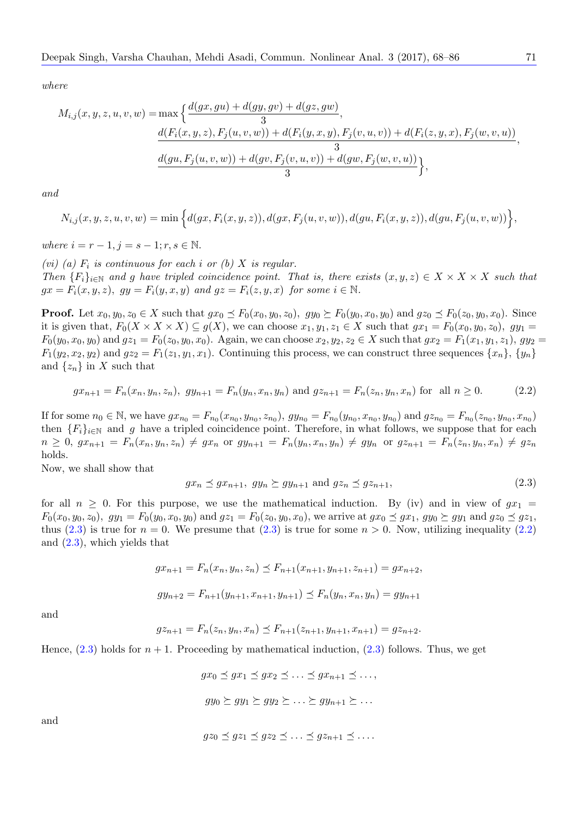$$
M_{i,j}(x, y, z, u, v, w) = \max \left\{ \frac{d(gx, gu) + d(gy, gv) + d(gz, gw)}{3}, \frac{d(F_i(x, y, z), F_j(u, v, w)) + d(F_i(y, x, y), F_j(v, u, v)) + d(F_i(z, y, x), F_j(w, v, u))}{3}, \frac{d(gu, F_j(u, v, w)) + d(gv, F_j(v, u, v)) + d(gw, F_j(w, v, u))}{3} \right\},
$$

*and*

$$
N_{i,j}(x, y, z, u, v, w) = \min \Big\{ d(gx, F_i(x, y, z)), d(gx, F_j(u, v, w)), d(gu, F_i(x, y, z)), d(gu, F_j(u, v, w)) \Big\},\,
$$

*where*  $i = r − 1, j = s − 1; r, s \in \mathbb{N}$ .

*(vi)* (a)  $F_i$  *is continuous for each i or (b)*  $X$  *is regular.* Then  $\{F_i\}_{i\in\mathbb{N}}$  and g have tripled coincidence point. That is, there exists  $(x, y, z) \in X \times X \times X$  such that  $gx = F_i(x, y, z)$ *,*  $gy = F_i(y, x, y)$  and  $gz = F_i(z, y, x)$  for some  $i \in \mathbb{N}$ .

**Proof.** Let  $x_0, y_0, z_0 \in X$  such that  $gx_0 \preceq F_0(x_0, y_0, z_0), gy_0 \succeq F_0(y_0, x_0, y_0)$  and  $gz_0 \preceq F_0(z_0, y_0, x_0)$ . Since it is given that,  $F_0(X \times X \times X) \subseteq g(X)$ , we can choose  $x_1, y_1, z_1 \in X$  such that  $gx_1 = F_0(x_0, y_0, z_0)$ ,  $gy_1 =$  $F_0(y_0, x_0, y_0)$  and  $gz_1 = F_0(z_0, y_0, x_0)$ . Again, we can choose  $x_2, y_2, z_2 \in X$  such that  $gx_2 = F_1(x_1, y_1, z_1)$ ,  $gy_2 = F_2(x_2, y_1, z_2)$  $F_1(y_2, x_2, y_2)$  and  $gz_2 = F_1(z_1, y_1, x_1)$ . Continuing this process, we can construct three sequences  $\{x_n\}, \{y_n\}$ and  $\{z_n\}$  in X such that

$$
gx_{n+1} = F_n(x_n, y_n, z_n), gy_{n+1} = F_n(y_n, x_n, y_n)
$$
 and  $gz_{n+1} = F_n(z_n, y_n, x_n)$  for all  $n \ge 0$ . (2.2)

If for some  $n_0 \in \mathbb{N}$ , we have  $gx_{n_0} = F_{n_0}(x_{n_0}, y_{n_0}, z_{n_0})$ ,  $gy_{n_0} = F_{n_0}(y_{n_0}, x_{n_0}, y_{n_0})$  and  $gz_{n_0} = F_{n_0}(z_{n_0}, y_{n_0}, x_{n_0})$ then  ${F_i}_{i\in\mathbb{N}}$  and g have a tripled coincidence point. Therefore, in what follows, we suppose that for each  $n \geq 0, g_{n+1} = F_n(x_n, y_n, z_n) \neq gx_n$  or  $gy_{n+1} = F_n(y_n, x_n, y_n) \neq gy_n$  or  $gz_{n+1} = F_n(z_n, y_n, x_n) \neq gz_n$ holds.

Now, we shall show that

<span id="page-3-1"></span><span id="page-3-0"></span>
$$
gx_n \preceq gx_{n+1}, \ gy_n \succeq gy_{n+1} \text{ and } gz_n \preceq gz_{n+1}, \tag{2.3}
$$

for all  $n \geq 0$ . For this purpose, we use the mathematical induction. By (iv) and in view of  $gx_1 =$  $F_0(x_0, y_0, z_0), gy_1 = F_0(y_0, x_0, y_0)$  and  $gz_1 = F_0(z_0, y_0, x_0),$  we arrive at  $gx_0 \preceq gx_1, gy_0 \succeq gy_1$  and  $gz_0 \preceq gz_1$ , thus (2.3) is true for  $n = 0$ . We presume that (2.3) is true for some  $n > 0$ . Now, utilizing inequality (2.2) and (2.3), which yields that

$$
gx_{n+1} = F_n(x_n, y_n, z_n) \le F_{n+1}(x_{n+1}, y_{n+1}, z_{n+1}) = gx_{n+2},
$$
  

$$
gy_{n+2} = F_{n+1}(y_{n+1}, x_{n+1}, y_{n+1}) \le F_n(y_n, x_n, y_n) = gy_{n+1}
$$

and

$$
gz_{n+1} = F_n(z_n, y_n, x_n) \le F_{n+1}(z_{n+1}, y_{n+1}, x_{n+1}) = gz_{n+2}.
$$

Hence,  $(2.3)$  holds for  $n + 1$ . Proceeding by mathematical induction,  $(2.3)$  follows. Thus, we get

$$
gx_0 \preceq gx_1 \preceq gx_2 \preceq \ldots \preceq gx_{n+1} \preceq \ldots,
$$

$$
gy_0 \succeq gy_1 \succeq gy_2 \succeq \ldots \succeq gy_{n+1} \succeq \ldots
$$

and

$$
gz_0 \preceq gz_1 \preceq gz_2 \preceq \ldots \preceq gz_{n+1} \preceq \ldots
$$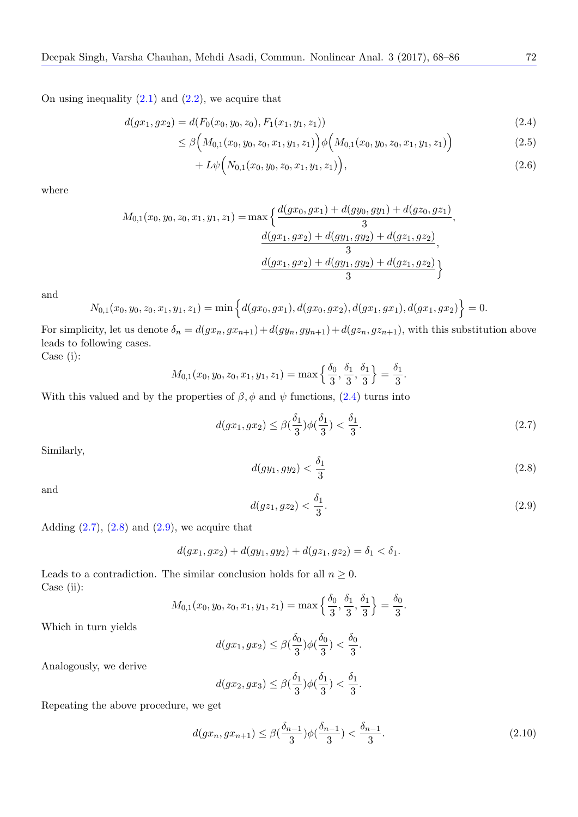On using inequality  $(2.1)$  and  $(2.2)$ , we acquire that

$$
d(gx_1, gx_2) = d(F_0(x_0, y_0, z_0), F_1(x_1, y_1, z_1))
$$
\n(2.4)

$$
\leq \beta \Big( M_{0,1}(x_0, y_0, z_0, x_1, y_1, z_1) \Big) \phi \Big( M_{0,1}(x_0, y_0, z_0, x_1, y_1, z_1) \Big) \tag{2.5}
$$

$$
+ L\psi\Big(N_{0,1}(x_0,y_0,z_0,x_1,y_1,z_1)\Big),\tag{2.6}
$$

where

$$
M_{0,1}(x_0, y_0, z_0, x_1, y_1, z_1) = \max \left\{ \frac{d(gx_0, gx_1) + d(gy_0, gy_1) + d(gz_0, gz_1)}{3}, \frac{d(gx_1, gx_2) + d(gy_1, gy_2) + d(gz_1, gz_2)}{3}, \frac{d(gx_1, gx_2) + d(gy_1, gy_2) + d(gz_1, gz_2)}{3} \right\}
$$

and

$$
N_{0,1}(x_0,y_0,z_0,x_1,y_1,z_1)=\min\Big\{d(gx_0,gx_1),d(gx_0,gx_2),d(gx_1,gx_1),d(gx_1,gx_2)\Big\}=0.
$$

For simplicity, let us denote  $\delta_n = d(gx_n, gx_{n+1}) + d(gy_n, gy_{n+1}) + d(gz_n, gz_{n+1})$ , with this substitution above leads to following cases. Case (i):

$$
M_{0,1}(x_0, y_0, z_0, x_1, y_1, z_1) = \max\left\{\frac{\delta_0}{3}, \frac{\delta_1}{3}, \frac{\delta_1}{3}\right\} = \frac{\delta_1}{3}.
$$

With this valued and by the properties of  $\beta$ ,  $\phi$  and  $\psi$  functions, (2.4) turns into

$$
d(gx_1, gx_2) \le \beta\left(\frac{\delta_1}{3}\right)\phi\left(\frac{\delta_1}{3}\right) < \frac{\delta_1}{3}.\tag{2.7}
$$

Similarly,

<span id="page-4-0"></span>
$$
d(gy_1, gy_2) < \frac{\delta_1}{3} \tag{2.8}
$$

<span id="page-4-1"></span>and

$$
d(gz_1, gz_2) < \frac{\delta_1}{3}.\tag{2.9}
$$

<span id="page-4-2"></span>Adding  $(2.7)$ ,  $(2.8)$  and  $(2.9)$ , we acquire that

$$
d(gx_1, gx_2) + d(gy_1, gy_2) + d(gz_1, gz_2) = \delta_1 < \delta_1.
$$

Leads to [a c](#page-4-0)on[trad](#page-4-1)iction. [Th](#page-4-2)e similar conclusion holds for all  $n \geq 0$ . Case (ii):

$$
M_{0,1}(x_0, y_0, z_0, x_1, y_1, z_1) = \max\left\{\frac{\delta_0}{3}, \frac{\delta_1}{3}, \frac{\delta_1}{3}\right\} = \frac{\delta_0}{3}.
$$

Which in turn yields

$$
d(gx_1, gx_2) \le \beta\left(\frac{\delta_0}{3}\right)\phi\left(\frac{\delta_0}{3}\right) < \frac{\delta_0}{3}.
$$

Analogously, we derive

$$
d(gx_2, gx_3) \leq \beta(\frac{\delta_1}{3})\phi(\frac{\delta_1}{3}) < \frac{\delta_1}{3}.
$$

Repeating the above procedure, we get

<span id="page-4-3"></span>
$$
d(gx_n, gx_{n+1}) \le \beta\left(\frac{\delta_{n-1}}{3}\right)\phi\left(\frac{\delta_{n-1}}{3}\right) < \frac{\delta_{n-1}}{3}.\tag{2.10}
$$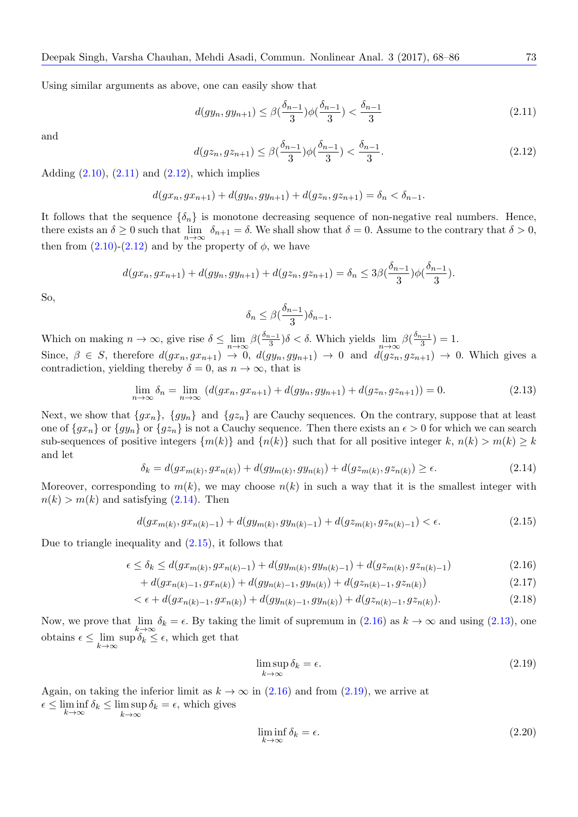Using similar arguments as above, one can easily show that

$$
d(gy_n, gy_{n+1}) \le \beta\left(\frac{\delta_{n-1}}{3}\right)\phi\left(\frac{\delta_{n-1}}{3}\right) < \frac{\delta_{n-1}}{3} \tag{2.11}
$$

and

<span id="page-5-0"></span>
$$
d(gz_n, gz_{n+1}) \le \beta(\frac{\delta_{n-1}}{3})\phi(\frac{\delta_{n-1}}{3}) < \frac{\delta_{n-1}}{3}.\tag{2.12}
$$

<span id="page-5-1"></span>Adding  $(2.10)$ ,  $(2.11)$  and  $(2.12)$ , which implies

$$
d(gx_n, gx_{n+1}) + d(gy_n, gy_{n+1}) + d(gz_n, gz_{n+1}) = \delta_n < \delta_{n-1}.
$$

It follow[s tha](#page-4-3)t [the s](#page-5-0)equence  $\{\delta_n\}$  $\{\delta_n\}$  $\{\delta_n\}$  is monotone decreasing sequence of non-negative real numbers. Hence, there exists an  $\delta \ge 0$  such that  $\lim_{n \to \infty} \delta_{n+1} = \delta$ . We shall show that  $\delta = 0$ . Assume to the contrary that  $\delta > 0$ , then from  $(2.10)-(2.12)$  and by the property of  $\phi$ , we have

$$
d(gx_n, gx_{n+1}) + d(gy_n, gy_{n+1}) + d(gz_n, gz_{n+1}) = \delta_n \leq 3\beta \left(\frac{\delta_{n-1}}{3}\right) \phi \left(\frac{\delta_{n-1}}{3}\right).
$$

So,

<span id="page-5-4"></span>
$$
\delta_n \leq \beta\left(\frac{\delta_{n-1}}{3}\right)\delta_{n-1}.
$$

Which on making  $n \to \infty$ , give rise  $\delta \le \lim_{n \to \infty} \beta(\frac{\delta_{n-1}}{3})\delta < \delta$ . Which yields  $\lim_{n \to \infty} \beta(\frac{\delta_{n-1}}{3}) = 1$ . Since,  $\beta \in S$ , therefore  $d(gx_n, gx_{n+1}) \to 0$ ,  $d(gy_n, gy_{n+1}) \to 0$  and  $d(gz_n, gz_{n+1}) \to 0$ . Which gives a contradiction, yielding thereby  $\delta = 0$ , as  $n \to \infty$ , that is

$$
\lim_{n \to \infty} \delta_n = \lim_{n \to \infty} \left( d(gx_n, gx_{n+1}) + d(gy_n, gy_{n+1}) + d(gz_n, gz_{n+1}) \right) = 0. \tag{2.13}
$$

Next, we show that  $\{gx_n\}$ ,  $\{gy_n\}$  and  $\{gz_n\}$  are Cauchy sequences. On the contrary, suppose that at least one of  $\{gx_n\}$  or  $\{gy_n\}$  or  $\{gz_n\}$  is not a Cauchy sequence. Then there exists an  $\epsilon > 0$  for which we can search sub-sequences of positive integers  $\{m(k)\}\$  and  $\{n(k)\}\$  such that for all positive integer  $k, n(k) > m(k) \geq k$ and let

$$
\delta_k = d(gx_{m(k)}, gx_{n(k)}) + d(gy_{m(k)}, gy_{n(k)}) + d(gz_{m(k)}, gz_{n(k)}) \ge \epsilon.
$$
\n(2.14)

<span id="page-5-2"></span>Moreover, corresponding to  $m(k)$ , we may choose  $n(k)$  in such a way that it is the smallest integer with  $n(k) > m(k)$  and satisfying  $(2.14)$ . Then

<span id="page-5-3"></span>
$$
d(gx_{m(k)}, gx_{n(k)-1}) + d(gy_{m(k)}, gy_{n(k)-1}) + d(gz_{m(k)}, gz_{n(k)-1}) < \epsilon.
$$
\n(2.15)

Due to triangle inequality and  $(2.15)$ , it follows that

$$
\epsilon \le \delta_k \le d(gx_{m(k)}, gx_{n(k)-1}) + d(gy_{m(k)}, gy_{n(k)-1}) + d(gz_{m(k)}, gz_{n(k)-1}) \tag{2.16}
$$

$$
+ d(gx_{n(k)-1}, gx_{n(k)}) + d(gy_{n(k)-1}, gy_{n(k)}) + d(gz_{n(k)-1}, gz_{n(k)}) \tag{2.17}
$$

$$
\langle \epsilon + d(gx_{n(k)-1}, gx_{n(k)}) + d(gy_{n(k)-1}, gy_{n(k)}) + d(gz_{n(k)-1}, gz_{n(k)}). \tag{2.18}
$$

Now, we prove that lim *k→∞*  $\delta_k = \epsilon$ . By taking the limit of supremum in (2.16) as  $k \to \infty$  and using (2.13), one obtains  $\epsilon \leq \lim$ *k→∞*  $\sup \delta_k \leq \epsilon$ , which get that

<span id="page-5-6"></span><span id="page-5-5"></span>
$$
\limsup_{k \to \infty} \delta_k = \epsilon. \tag{2.19}
$$

Again, on taking the inferior limit as  $k \to \infty$  in (2.16) and from (2.19), we arrive at  $\epsilon \leq \liminf_{k} \delta_k \leq \limsup_{k} \delta_k = \epsilon$ , which gives

*k→∞ k→∞*

<span id="page-5-7"></span>
$$
\liminf_{k \to \infty} \delta_k = \epsilon. \tag{2.20}
$$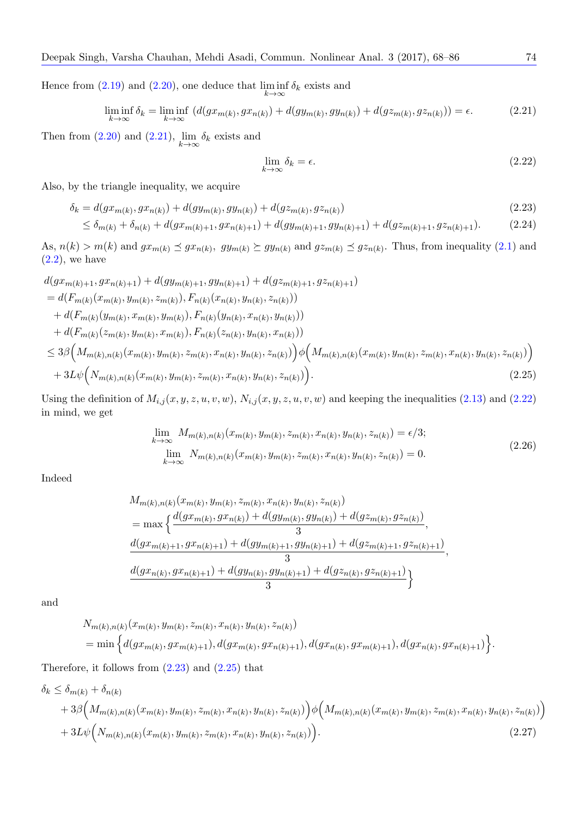Hence from  $(2.19)$  and  $(2.20)$ , one deduce that  $\liminf$ *k→∞ δ<sup>k</sup>* exists and

$$
\liminf_{k \to \infty} \delta_k = \liminf_{k \to \infty} \left( d(gx_{m(k)}, gx_{n(k)}) + d(gy_{m(k)}, gy_{n(k)}) + d(gz_{m(k)}, gz_{n(k)}) \right) = \epsilon.
$$
\n(2.21)

Then from  $(2.20)$  $(2.20)$  and  $(2.21)$  $(2.21)$ , lim *k→∞ δ<sup>k</sup>* exists and

<span id="page-6-3"></span><span id="page-6-2"></span><span id="page-6-1"></span><span id="page-6-0"></span>
$$
\lim_{k \to \infty} \delta_k = \epsilon. \tag{2.22}
$$

Also, by the [tria](#page-5-7)ngle in[equa](#page-6-0)lity, we acquire

$$
\delta_k = d(gx_{m(k)}, gx_{n(k)}) + d(gy_{m(k)}, gy_{n(k)}) + d(gz_{m(k)}, gz_{n(k)})
$$
\n(2.23)

$$
\leq \delta_{m(k)} + \delta_{n(k)} + d(gx_{m(k)+1}, gx_{n(k)+1}) + d(gy_{m(k)+1}, gy_{n(k)+1}) + d(gz_{m(k)+1}, gz_{n(k)+1}).
$$
\n(2.24)

As,  $n(k) > m(k)$  and  $gx_{m(k)} \preceq gx_{n(k)}$ ,  $gy_{m(k)} \succeq gy_{n(k)}$  and  $gz_{m(k)} \preceq gz_{n(k)}$ . Thus, from inequality (2.1) and  $(2.2)$ , we have

$$
d(gx_{m(k)+1}, gx_{n(k)+1}) + d(gy_{m(k)+1}, gy_{n(k)+1}) + d(gz_{m(k)+1}, gz_{n(k)+1})
$$
  
\n
$$
= d(F_{m(k)}(x_{m(k)}, y_{m(k)}, z_{m(k)}), F_{n(k)}(x_{n(k)}, y_{n(k)}, z_{n(k)}))
$$
  
\n
$$
+ d(F_{m(k)}(y_{m(k)}, x_{m(k)}, y_{m(k)}), F_{n(k)}(y_{n(k)}, x_{n(k)}, y_{n(k)}))
$$
  
\n
$$
+ d(F_{m(k)}(z_{m(k)}, y_{m(k)}, x_{m(k)}), F_{n(k)}(z_{n(k)}, y_{n(k)}, z_{n(k)}))
$$
  
\n
$$
\leq 3\beta \Big(M_{m(k),n(k)}(x_{m(k)}, y_{m(k)}, z_{m(k)}, x_{n(k)}, y_{n(k)}, z_{n(k)})\Big) \phi \Big(M_{m(k),n(k)}(x_{m(k)}, y_{m(k)}, z_{n(k)}, y_{n(k)}, z_{n(k)}))
$$
  
\n
$$
+ 3L\psi \Big(N_{m(k),n(k)}(x_{m(k)}, y_{m(k)}, z_{m(k)}, x_{n(k)}, y_{n(k)}, z_{n(k)})\Big).
$$
\n(2.25)

Using the definition of  $M_{i,j}(x, y, z, u, v, w)$ ,  $N_{i,j}(x, y, z, u, v, w)$  and keeping the inequalities (2.13) and (2.22) in mind, we get

$$
\lim_{k \to \infty} M_{m(k),n(k)}(x_{m(k)}, y_{m(k)}, z_{m(k)}, x_{n(k)}, y_{n(k)}, z_{n(k)}) = \epsilon/3; \n\lim_{k \to \infty} N_{m(k),n(k)}(x_{m(k)}, y_{m(k)}, z_{m(k)}, x_{n(k)}, y_{n(k)}, z_{n(k)}) = 0.
$$
\n(2.26)

Indeed

$$
M_{m(k),n(k)}(x_{m(k)}, y_{m(k)}, z_{m(k)}, x_{n(k)}, y_{n(k)}, z_{n(k)})
$$
  
= max 
$$
\begin{cases} \frac{d(gx_{m(k)}, gx_{n(k)}) + d(gy_{m(k)}, gy_{n(k)}) + d(gz_{m(k)}, gz_{n(k)})}{3}, \\ \frac{d(gx_{m(k)+1}, gx_{n(k)+1}) + d(gy_{m(k)+1}, gy_{n(k)+1}) + d(gz_{m(k)+1}, gz_{n(k)+1})}{3}, \\ \frac{d(gx_{n(k)}, gx_{n(k)+1}) + d(gy_{n(k)}, gy_{n(k)+1}) + d(gz_{n(k)}, gz_{n(k)+1})}{3} \end{cases}
$$

and

<span id="page-6-4"></span>
$$
N_{m(k),n(k)}(x_{m(k)}, y_{m(k)}, z_{m(k)}, x_{n(k)}, y_{n(k)}, z_{n(k)})
$$
  
= min  $\Big\{d(gx_{m(k)}, gx_{m(k)+1}), d(gx_{m(k)}, gx_{n(k)+1}), d(gx_{n(k)}, gx_{m(k)+1}), d(gx_{n(k)}, gx_{n(k)+1})\Big\}.$ 

Therefore, it follows from  $(2.23)$  and  $(2.25)$  that

$$
\delta_k \leq \delta_{m(k)} + \delta_{n(k)} + \delta_{n(k)} + 3\beta \Big(M_{m(k),n(k)}(x_{m(k)}, y_{m(k)}, z_{m(k)}, x_{n(k)}, y_{n(k)}, z_{n(k)})\Big) \phi\Big(M_{m(k),n(k)}(x_{m(k)}, y_{m(k)}, z_{m(k)}, x_{n(k)}, y_{n(k)}, z_{n(k)})\Big) + 3L\psi\Big(N_{m(k),n(k)}(x_{m(k)}, y_{m(k)}, z_{m(k)}, x_{n(k)}, y_{n(k)}, z_{n(k)})\Big).
$$
\n(2.27)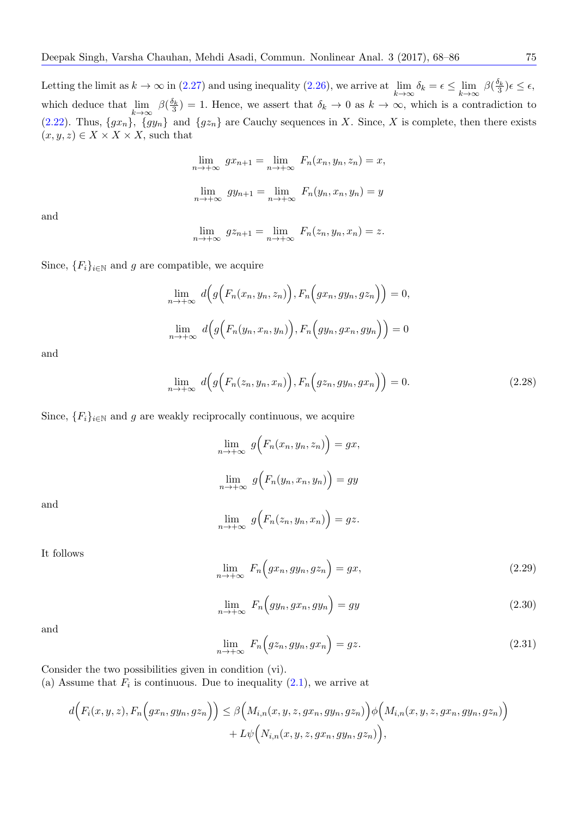Letting the limit as  $k \to \infty$  in (2.27) and using inequality (2.26), we arrive at lim *k→∞ δ*<sup>*k*</sup> = *∈*  $≤$  lim *k→∞*  $\beta(\frac{\delta_k}{3})\epsilon \leq \epsilon$ , which deduce that lim *k→∞*  $\beta(\frac{\delta_k}{3}) = 1$ . Hence, we assert that  $\delta_k \to 0$  as  $k \to \infty$ , which is a contradiction to (2.22). Thus,  $\{gx_n\}$ ,  $\{gy_n\}$  and  $\{gz_n\}$  are Cauchy sequences in *X*. Since, *X* is complete, then there exists  $(x, y, z) \in X \times X \times X$ , such t[hat](#page-6-4)

$$
\lim_{n \to +\infty} gx_{n+1} = \lim_{n \to +\infty} F_n(x_n, y_n, z_n) = x,
$$
  

$$
\lim_{n \to +\infty} gy_{n+1} = \lim_{n \to +\infty} F_n(y_n, x_n, y_n) = y
$$

and

$$
\lim_{n \to +\infty} g z_{n+1} = \lim_{n \to +\infty} F_n(z_n, y_n, x_n) = z.
$$

Since,  ${F_i}_{i \in \mathbb{N}}$  and *g* are compatible, we acquire

$$
\lim_{n \to +\infty} d(g(F_n(x_n, y_n, z_n)), F_n\Big(gx_n, gy_n, gz_n\Big)) = 0,
$$
  

$$
\lim_{n \to +\infty} d(g(F_n(y_n, x_n, y_n)), F_n\Big(gy_n, gx_n, gy_n\Big)) = 0
$$

and

$$
\lim_{n \to +\infty} d(g\Big(F_n(z_n, y_n, x_n)\Big), F_n\Big(gz_n, gy_n, gx_n\Big)\Big) = 0. \tag{2.28}
$$

<span id="page-7-0"></span>Since,  ${F_i}_{i \in \mathbb{N}}$  and *g* are weakly reciprocally continuous, we acquire

$$
\lim_{n \to +\infty} g(F_n(x_n, y_n, z_n)) = gx,
$$
  

$$
\lim_{n \to +\infty} g(F_n(y_n, x_n, y_n)) = gy
$$
  

$$
\lim_{n \to +\infty} g(F_n(z_n, y_n, x_n)) = gz.
$$

and

It follows

$$
\lim_{n \to +\infty} F_n\Big(gx_n, gy_n, gz_n\Big) = gx,\tag{2.29}
$$

$$
\lim_{n \to +\infty} F_n\Big(gy_n, gx_n, gy_n\Big) = gy \tag{2.30}
$$

<span id="page-7-1"></span>and

$$
\lim_{n \to +\infty} F_n(gz_n, gy_n, gx_n) = gz. \tag{2.31}
$$

Consider the two possibilities given in condition (vi).

(a) Assume that  $F_i$  is continuous. Due to inequality  $(2.1)$ , we arrive at

$$
d\Big(F_i(x, y, z), F_n\Big(gx_n, gy_n, gz_n\Big)\Big) \leq \beta\Big(M_{i,n}(x, y, z, gx_n, gy_n, gz_n)\Big)\phi\Big(M_{i,n}(x, y, z, gx_n, gy_n, gz_n)\Big) + L\psi\Big(N_{i,n}(x, y, z, gx_n, gy_n, gz_n)\Big),
$$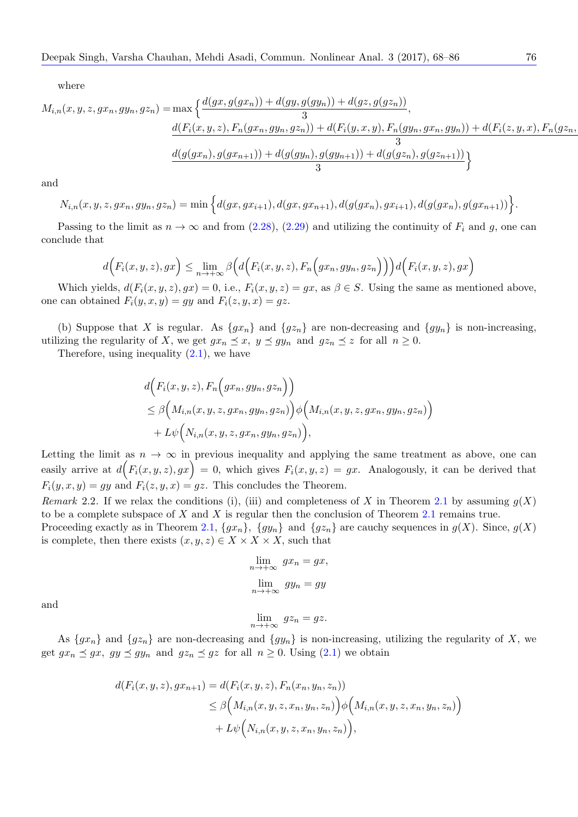$$
M_{i,n}(x, y, z, gx_n, gy_n, gz_n) = \max \left\{ \frac{d(gx, g(gx_n)) + d(gy, g(gy_n)) + d(gz, g(gz_n))}{3}, \frac{d(F_i(x, y, z), F_n(gx_n, gy_n, gz_n)) + d(F_i(y, x, y), F_n(gy_n, gx_n, gy_n)) + d(F_i(z, y, x), F_n(gz_n, gy_n))}{3}, \frac{d(g(gx_n), g(gx_{n+1})) + d(g(gy_n), g(gy_{n+1})) + d(g(gz_n), g(gz_{n+1}))}{3} \right\}
$$

and

$$
N_{i,n}(x, y, z, gx_n, gy_n, gz_n) = \min\Big\{d(gx, gx_{i+1}), d(gx, gx_{n+1}), d(g(gx_n), gx_{i+1}), d(g(gx_n), g(gx_{n+1}))\Big\}.
$$

Passing to the limit as  $n \to \infty$  and from (2.28), (2.29) and utilizing the continuity of  $F_i$  and g, one can conclude that

$$
d\Big(F_i(x,y,z),gx\Big) \leq \lim_{n \to +\infty} \beta\Big(d\Big(F_i(x,y,z),F_n\Big(gx_n,gy_n,gz_n\Big)\Big)\Big)d\Big(F_i(x,y,z),gx\Big)
$$

Which yields,  $d(F_i(x, y, z), gx) = 0$ , i.e.,  $F_i(x, y, z) = gx$ , as  $\beta \in S$ . Using the same as mentioned above, one can obtained  $F_i(y, x, y) = gy$  and  $F_i(z, y, x) = gz$ .

(b) Suppose that *X* is regular. As  $\{gx_n\}$  and  $\{gz_n\}$  are non-decreasing and  $\{gy_n\}$  is non-increasing, utilizing the regularity of *X*, we get  $gx_n \leq x$ ,  $y \leq gy_n$  and  $gz_n \leq z$  for all  $n \geq 0$ .

Therefore, using inequality  $(2.1)$ , we have

$$
d\Big(F_i(x, y, z), F_n\Big(gx_n, gy_n, gz_n\Big)\Big)
$$
  
\n
$$
\leq \beta\Big(M_{i,n}(x, y, z, gx_n, gy_n, gz_n)\Big)\phi\Big(M_{i,n}(x, y, z, gx_n, gy_n, gz_n)\Big)
$$
  
\n
$$
+ L\psi\Big(N_{i,n}(x, y, z, gx_n, gy_n, gz_n)\Big),
$$

Letting the limit as  $n \to \infty$  in previous inequality and applying the same treatment as above, one can easily arrive at  $d(F_i(x, y, z), gx) = 0$ , which gives  $F_i(x, y, z) = gx$ . Analogously, it can be derived that  $F_i(y, x, y) = gy$  and  $F_i(z, y, x) = gz$ . This concludes the Theorem.

*Remark* 2.2. If we relax the conditions (i), (iii) and completeness of X in Theorem 2.1 by assuming  $g(X)$ to be a complete subspace of *X* and *X* is regular then the conclusion of Theorem 2.1 remains true.

Proceeding exactly as in Theorem 2.1,  $\{gx_n\}$ ,  $\{gy_n\}$  and  $\{gz_n\}$  are cauchy sequences in  $g(X)$ . Since,  $g(X)$ is complete, then there exists  $(x, y, z) \in X \times X \times X$ , such that

$$
\lim_{n \to +\infty} gx_n = gx,
$$
  

$$
\lim_{n \to +\infty} gy_n = gy
$$

and

As  $\{gx_n\}$  and  $\{gz_n\}$  are non-decreasing and  $\{gy_n\}$  is non-increasing, utilizing the regularity of *X*, we get  $gx_n \preceq gx$ ,  $gy \preceq gy_n$  and  $gz_n \preceq gz$  for all  $n \geq 0$ . Using (2.1) we obtain

 $\lim_{n \to +\infty} gz_n = gz.$ 

$$
d(F_i(x, y, z), gx_{n+1}) = d(F_i(x, y, z), F_n(x_n, y_n, z_n))
$$
  
\n
$$
\leq \beta \Big( M_{i,n}(x, y, z, x_n, y_n, z_n) \Big) \phi \Big( M_{i,n}(x, y, z, x_n, y_n, z_n) \Big)
$$
  
\n
$$
+ L\psi \Big( N_{i,n}(x, y, z, x_n, y_n, z_n) \Big),
$$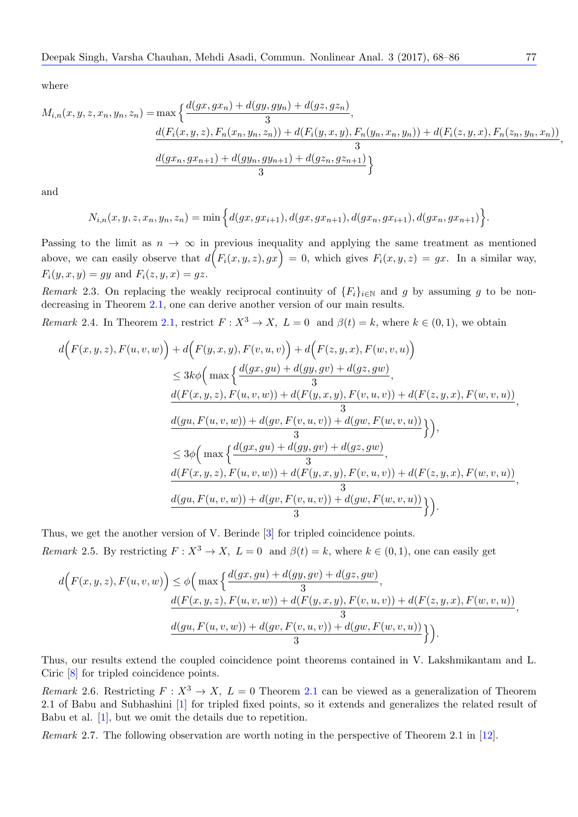$$
M_{i,n}(x, y, z, x_n, y_n, z_n) = \max \left\{ \frac{d(gx, gx_n) + d(gy, gy_n) + d(gz, gz_n)}{3}, \frac{d(F_i(x, y, z), F_n(x_n, y_n, z_n)) + d(F_i(y, x, y), F_n(y_n, x_n, y_n)) + d(F_i(z, y, x), F_n(z_n, y_n, x_n))}{3} \right\}
$$

and

$$
N_{i,n}(x,y,z,x_n,y_n,z_n) = \min\Big\{d(gx,gx_{i+1}),d(gx,gx_{n+1}),d(gx_n,gx_{i+1}),d(gx_n,gx_{n+1})\Big\}.
$$

Passing to the limit as  $n \to \infty$  in previous inequality and applying the same treatment as mentioned above, we can easily observe that  $d(F_i(x, y, z), gx) = 0$ , which gives  $F_i(x, y, z) = gx$ . In a similar way,  $F_i(y, x, y) = gy$  and  $F_i(z, y, x) = gz$ .

*Remark* 2.3. On replacing the weakly reciprocal continuity of  ${F_i}_{i \in \mathbb{N}}$  and *g* by assuming *g* to be nondecreasing in Theorem 2.1, one can derive another version of our main results.

*Remark* 2.4. In Theorem 2.1, restrict  $F: X^3 \to X$ ,  $L = 0$  and  $\beta(t) = k$ , where  $k \in (0, 1)$ , we obtain

<span id="page-9-1"></span>
$$
d\Big(F(x,y,z),F(u,v,w)\Big) + d\Big(F(y,x,y),F(v,u,v)\Big) + d\Big(F(z,y,x),F(w,v,u)\Big) \leq 3k\phi\Big(\max\Big\{\frac{d(gx,gu) + d(gy,gv) + d(gz,gw)}{3}, \\ \frac{d(F(x,y,z),F(u,v,w)) + d(F(y,x,y),F(v,u,v)) + d(F(z,y,x),F(w,v,u))}{3}, \\ \frac{d(gu,F(u,v,w)) + d(gv,F(v,u,v)) + d(gw,F(w,v,u))}{3}\Big\}\Big), \\ \leq 3\phi\Big(\max\Big\{\frac{d(gx,gu) + d(gy,gv) + d(gz,gw)}{3}, \\ \frac{d(F(x,y,z),F(u,v,w)) + d(F(y,x,y),F(v,u,v)) + d(F(z,y,x),F(w,v,u))}{3}, \\ \frac{d(gu,F(u,v,w)) + d(gv,F(v,u,v)) + d(gw,F(w,v,u))}{3}\Big\}\Big).
$$

Thus, we get the another version of V. Berinde [3] for tripled coincidence points. *Remark* 2.5*.* By restricting  $F: X^3 \to X$ ,  $L = 0$  and  $\beta(t) = k$ , where  $k \in (0, 1)$ , one can easily get

<span id="page-9-2"></span>
$$
d(F(x, y, z), F(u, v, w)) \leq \phi\left(\max\left\{\frac{d(gx, gu) + d(gy, gv) + d(gz, gw)}{3}, \frac{d(F(x, y, z), F(u, v, w)) + d(F(y, x, y), F(v, u, v)) + d(F(z, y, x), F(w, v, u))}{3}, \frac{d(gu, F(u, v, w)) + d(gv, F(v, u, v)) + d(gw, F(w, v, u))}{3}\right\}\right).
$$

Thus, our results extend the coupled coincidence point theorems contained in V. Lakshmikantam and L. Ciric [8] for tripled coincidence points.

*Remark* 2.6. Restricting  $F: X^3 \to X$ ,  $L = 0$  Theorem 2.1 can be viewed as a generalization of Theorem 2.1 of Babu and Subhashini [1] for tripled fixed points, so it extends and generalizes the related result of Babu [et](#page-18-3) al. [1], but we omit the details due to repetition.

<span id="page-9-0"></span>*Remark* 2.7*.* The following observation are worth noting [in](#page-2-1) the perspective of Theorem 2.1 in [12].

*,*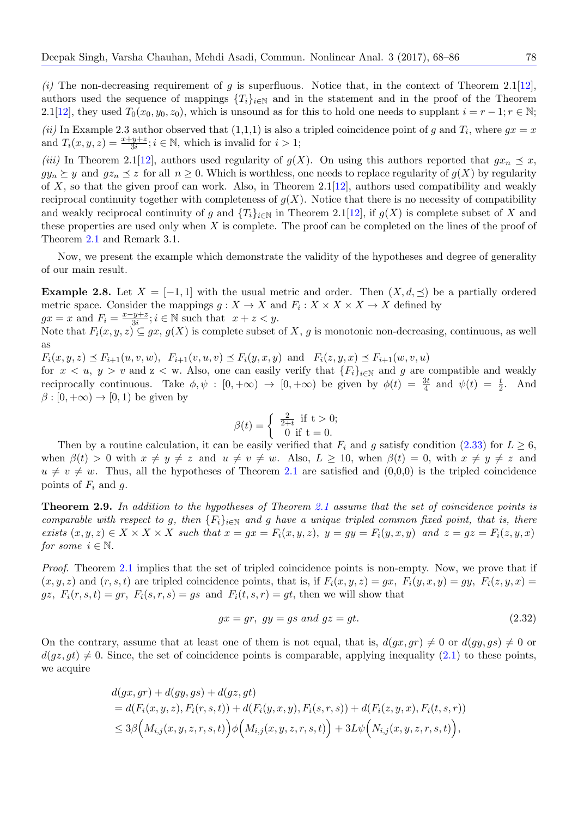$(i)$  The non-decreasing requirement of *g* is superfluous. Notice that, in the context of Theorem 2.1[12], authors used the sequence of mappings  ${T_i}_{i \in \mathbb{N}}$  and in the statement and in the proof of the Theorem 2.1[12], they used  $T_0(x_0, y_0, z_0)$ , which is unsound as for this to hold one needs to supplant  $i = r - 1; r \in \mathbb{N}$ ; *(ii)* In Example 2.3 author observed that  $(1,1,1)$  is also a tripled coincidence point of *g* and  $T_i$ , where  $gx = x$  $gx = x$  $gx = x$ and  $T_i(x, y, z) = \frac{x + y + z}{3i}; i \in \mathbb{N}$ , which is invalid for  $i > 1$ ;

*(iii)* [I](#page-18-7)n Theorem 2.1[12], authors used regularity of  $g(X)$ . On using this authors reported that  $gx_n \preceq x$ ,  $gy_n \succeq y$  and  $gz_n \preceq z$  for all  $n \geq 0$ . Which is worthless, one needs to replace regularity of  $g(X)$  by regularity of *X*, so that the given proof can work. Also, in Theorem 2.1[12], authors used compatibility and weakly reciprocal continuity together with completeness of  $g(X)$ . Notice that there is no necessity of compatibility and weakly reciproca[l co](#page-18-7)ntinuity of *g* and  $\{T_i\}_{i\in\mathbb{N}}$  in Theorem 2.1[12], if  $g(X)$  is complete subset of X and these properties are used only when *X* is complete. The proof can be completed on the lines of the proof of Theorem 2.1 and Remark 3.1.

Now, we present the example which demonstrate the validity o[f th](#page-18-7)e hypotheses and degree of generality of our main result.

**Exampl[e 2.](#page-2-1)8.** Let  $X = [-1, 1]$  with the usual metric and order. Then  $(X, d, \preceq)$  be a partially ordered metric space. Consider the mappings  $g: X \to X$  and  $F_i: X \times X \times X \to X$  defined by  $gx = x$  and  $F_i = \frac{x - y + z}{3i}; i \in \mathbb{N}$  such that  $x + z < y$ .

<span id="page-10-1"></span>Note that  $F_i(x, y, z) \subseteq gx$ ,  $g(X)$  is complete subset of X, g is monotonic non-decreasing, continuous, as well as

 $F_i(x, y, z) \preceq F_{i+1}(u, v, w), F_{i+1}(v, u, v) \preceq F_i(y, x, y)$  and  $F_i(z, y, x) \preceq F_{i+1}(w, v, u)$ 

for  $x < u$ ,  $y > v$  and  $z < w$ . Also, one can easily verify that  ${F_i}_{i \in \mathbb{N}}$  and g are compatible and weakly reciprocally continuous. Take  $\phi, \psi : [0, +\infty) \to [0, +\infty)$  be given by  $\phi(t) = \frac{3t}{4}$  and  $\psi(t) = \frac{t}{2}$ . And  $\beta$  :  $[0, +\infty) \rightarrow [0, 1)$  be given by

$$
\beta(t) = \begin{cases} \frac{2}{2+t} & \text{if } t > 0; \\ 0 & \text{if } t = 0. \end{cases}
$$

Then by a routine calculation, it can be easily verified that  $F_i$  and *g* satisfy condition (2.33) for  $L \geq 6$ , when  $\beta(t) > 0$  with  $x \neq y \neq z$  and  $u \neq v \neq w$ . Also,  $L \geq 10$ , when  $\beta(t) = 0$ , with  $x \neq y \neq z$  and  $u \neq v \neq w$ . Thus, all the hypotheses of Theorem 2.1 are satisfied and  $(0,0,0)$  is the tripled coincidence points of  $F_i$  and  $g$ .

**Theorem 2.9.** *In addition to the hypotheses of Theorem 2.1 assume that the set of coincidence points is comparable with respect to g, then*  ${F_i}_{i \in \mathbb{N}}$  *and g h[ave](#page-2-1) a unique tripled common fixed point, that is, there* exists  $(x, y, z) \in X \times X \times X$  such that  $x = gx = F_i(x, y, z)$ ,  $y = gy = F_i(y, x, y)$  and  $z = gz = F_i(z, y, x)$ *for some*  $i \in \mathbb{N}$ *.* 

*Proof.* Theorem 2.1 implies that the set of tripled coincidence points is non-empty. Now, we prove that if  $(x, y, z)$  and  $(r, s, t)$  are tripled coincidence points, that is, if  $F_i(x, y, z) = gx$ ,  $F_i(y, x, y) = gy$ ,  $F_i(z, y, x) = g$  $gz, F_i(r, s, t) = gr, F_i(s, r, s) = gs$  and  $F_i(t, s, r) = gt$ , then we will show that

<span id="page-10-0"></span>
$$
gx = gr, \, gy = gs \, and \, gz = gt. \tag{2.32}
$$

On the contrary, assume that at least one of them is not equal, that is,  $d(gx, gr) \neq 0$  or  $d(gy, gs) \neq 0$  or  $d(qz, qt) \neq 0$ . Since, the set of coincidence points is comparable, applying inequality (2.1) to these points, we acquire

$$
d(gx, gr) + d(gy, gs) + d(gz, gt)
$$
  
=  $d(F_i(x, y, z), F_i(r, s, t)) + d(F_i(y, x, y), F_i(s, r, s)) + d(F_i(z, y, x), F_i(t, s, r))$   
 $\leq 3\beta \Big(M_{i,j}(x, y, z, r, s, t)\Big) \phi \Big(M_{i,j}(x, y, z, r, s, t)\Big) + 3L\psi \Big(N_{i,j}(x, y, z, r, s, t)\Big),$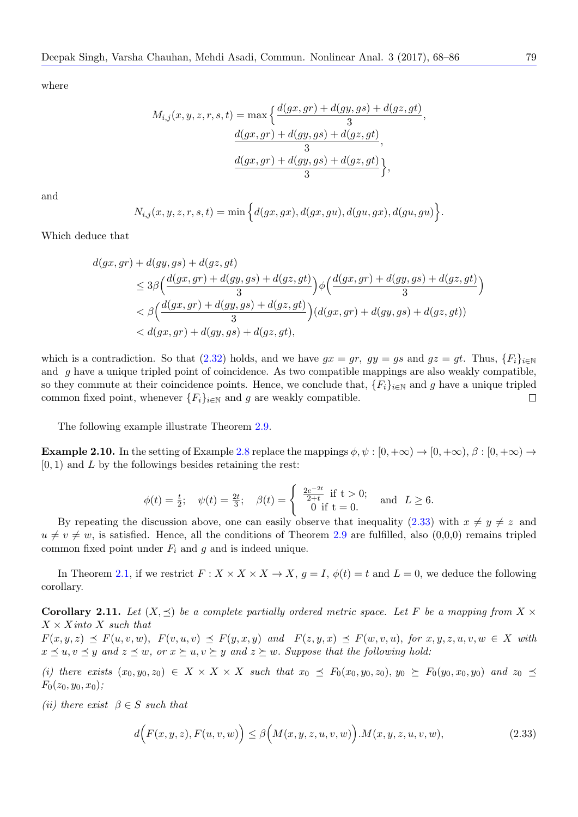$$
M_{i,j}(x, y, z, r, s, t) = \max\left\{\frac{d(gx, gr) + d(gy, gs) + d(gz, gt)}{3}, \frac{d(gx, gr) + d(gy, gs) + d(gz, gt)}{3}, \frac{d(gx, gr) + d(gy, gs) + d(gz, gt)}{3}\right\},\,
$$

and

$$
N_{i,j}(x,y,z,r,s,t)=\min\Big\{d(gx,gx),d(gx,gu),d(gu,gx),d(gu,gu)\Big\}.
$$

Which deduce that

$$
d(gx, gr) + d(gy, gs) + d(gz, gt)
$$
  
\n
$$
\leq 3\beta \Big( \frac{d(gx, gr) + d(gy, gs) + d(gz, gt)}{3} \Big) \phi \Big( \frac{d(gx, gr) + d(gy, gs) + d(gz, gt)}{3} \Big)
$$
  
\n
$$
< \beta \Big( \frac{d(gx, gr) + d(gy, gs) + d(gz, gt)}{3} \Big) (d(gx, gr) + d(gy, gs) + d(gz, gt))
$$
  
\n
$$
< d(gx, gr) + d(gy, gs) + d(gz, gt),
$$

which is a contradiction. So that  $(2.32)$  holds, and we have  $gx = gr$ ,  $gy = gs$  and  $gz = gt$ . Thus,  $\{F_i\}_{i \in \mathbb{N}}$ and *g* have a unique tripled point of coincidence. As two compatible mappings are also weakly compatible, so they commute at their coincidence points. Hence, we conclude that,  ${F_i}_{i\in\mathbb{N}}$  and g have a unique tripled common fixed point, whenever  ${F_i}_{i \in \mathbb{N}}$  and *g* are weakly compatible.  $\Box$ 

The following example illustrate Theorem 2.9.

**Example 2.10.** In the setting of Example 2.8 replace the mappings  $\phi, \psi : [0, +\infty) \to [0, +\infty)$ ,  $\beta : [0, +\infty) \to$ [0*,* 1) and *L* by the followings besides retaining the rest:

$$
\phi(t) = \frac{t}{2};
$$
  $\psi(t) = \frac{2t}{3};$   $\beta(t) = \begin{cases} \frac{2e^{-2t}}{2+t} & \text{if } t > 0; \\ 0 & \text{if } t = 0. \end{cases}$  and  $L \ge 6$ .

By repeating the discussion above, one can easily observe that inequality  $(2.33)$  with  $x \neq y \neq z$  and  $u \neq v \neq w$ , is satisfied. Hence, all the conditions of Theorem 2.9 are fulfilled, also (0,0,0) remains tripled common fixed point under  $F_i$  and  $g$  and is indeed unique.

In Theorem 2.1, if we restrict  $F: X \times X \times X \to X$ ,  $g = I$ ,  $\phi(t) = t$  and  $L = 0$ , we deduce the following corollary.

**Corollary 2.11.** Let  $(X, \preceq)$  be a complete partially ordered metric space. Let F be a mapping from  $X \times$ *X × Xinto X s[uch](#page-2-1) that*

<span id="page-11-1"></span> $F(x,y,z) \preceq F(u,v,w)$ ,  $F(v,u,v) \preceq F(y,x,y)$  and  $F(z,y,x) \preceq F(w,v,u)$ , for  $x,y,z,u,v,w \in X$  with  $x \preceq u, v \preceq y$  and  $z \preceq w$ , or  $x \succeq u, v \succeq y$  and  $z \succeq w$ . Suppose that the following hold:

(i) there exists  $(x_0, y_0, z_0) \in X \times X \times X$  such that  $x_0 \preceq F_0(x_0, y_0, z_0), y_0 \succeq F_0(y_0, x_0, y_0)$  and  $z_0 \preceq z_0$ *F*0(*z*0*, y*0*, x*0)*;*

*(ii)* there exist  $\beta \in S$  *such that* 

<span id="page-11-0"></span>
$$
d\Big(F(x,y,z),F(u,v,w)\Big) \leq \beta\Big(M(x,y,z,u,v,w)\Big).M(x,y,z,u,v,w),\tag{2.33}
$$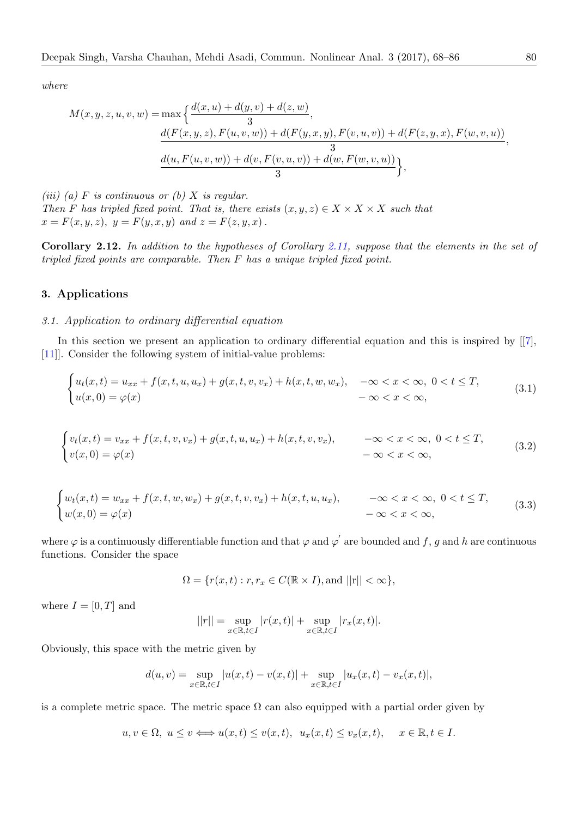$$
M(x, y, z, u, v, w) = \max \left\{ \frac{d(x, u) + d(y, v) + d(z, w)}{3}, \frac{d(F(x, y, z), F(u, v, w)) + d(F(y, x, y), F(v, u, v)) + d(F(z, y, x), F(w, v, u))}{3}, \frac{d(u, F(u, v, w)) + d(v, F(v, u, v)) + d(w, F(w, v, u))}{3} \right\},
$$

*(iii) (a) F is continuous or (b) X is regular. Then F* has tripled fixed point. That is, there exists  $(x, y, z) \in X \times X \times X$  such that  $x = F(x, y, z), y = F(y, x, y) \text{ and } z = F(z, y, x)$ .

**Corollary 2.12.** *In addition to the hypotheses of Corollary 2.11, suppose that the elements in the set of tripled fixed points are comparable. Then F has a unique tripled fixed point.*

#### **3. Applications**

### *3.1. Application to ordinary differential equation*

<span id="page-12-1"></span>In this section we present an application to ordinary differential equation and this is inspired by  $[[7],$ [11]]. Consider the following system of initial-value problems:

$$
\begin{cases} u_t(x,t) = u_{xx} + f(x,t,u,u_x) + g(x,t,v,v_x) + h(x,t,w,w_x), & -\infty < x < \infty, \ 0 < t \leq T, \\ u(x,0) = \varphi(x) & -\infty < x < \infty, \end{cases}
$$
 (3.1)

$$
\begin{cases} v_t(x,t) = v_{xx} + f(x,t,v,v_x) + g(x,t,u,u_x) + h(x,t,v,v_x), & -\infty < x < \infty, \ 0 < t \le T, \\ v(x,0) = \varphi(x) & -\infty < x < \infty, \end{cases}
$$
 (3.2)

$$
\begin{cases} w_t(x,t) = w_{xx} + f(x,t,w,w_x) + g(x,t,v,w_x) + h(x,t,u,w_x), & -\infty < x < \infty, \ 0 < t \le T, \\ w(x,0) = \varphi(x) & -\infty < x < \infty, \end{cases}
$$
 (3.3)

where  $\varphi$  is a continuously differentiable function and that  $\varphi$  and  $\varphi'$  are bounded and  $f, g$  and  $h$  are continuous functions. Consider the space

$$
\Omega = \{ r(x, t) : r, r_x \in C(\mathbb{R} \times I), \text{and } ||r|| < \infty \},\
$$

where  $I = [0, T]$  and

<span id="page-12-0"></span>
$$
||r|| = \sup_{x \in \mathbb{R}, t \in I} |r(x, t)| + \sup_{x \in \mathbb{R}, t \in I} |r_x(x, t)|.
$$

Obviously, this space with the metric given by

$$
d(u, v) = \sup_{x \in \mathbb{R}, t \in I} |u(x, t) - v(x, t)| + \sup_{x \in \mathbb{R}, t \in I} |u_x(x, t) - v_x(x, t)|,
$$

is a complete metric space. The metric space  $\Omega$  can also equipped with a partial order given by

$$
u, v \in \Omega, u \le v \Longleftrightarrow u(x, t) \le v(x, t), u_x(x, t) \le v_x(x, t), x \in \mathbb{R}, t \in I.
$$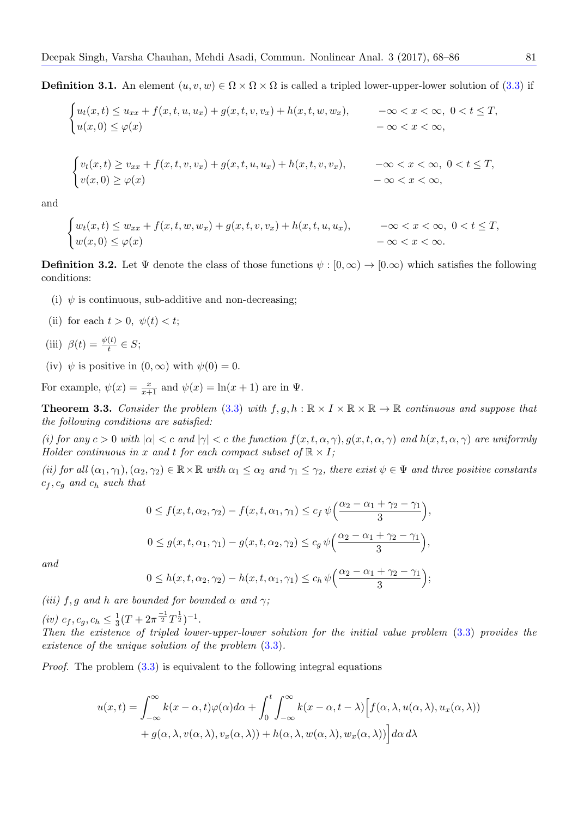**Definition 3.1.** An element  $(u, v, w) \in \Omega \times \Omega \times \Omega$  is called a tripled lower-upper-lower solution of (3.3) if

$$
\begin{cases} u_t(x,t) \le u_{xx} + f(x,t,u,u_x) + g(x,t,v,v_x) + h(x,t,w,w_x), & -\infty < x < \infty, \ 0 < t \le T, \\ u(x,0) \le \varphi(x) & -\infty < x < \infty, \end{cases}
$$

$$
\begin{cases} v_t(x,t) \ge v_{xx} + f(x,t,v,v_x) + g(x,t,u,u_x) + h(x,t,v,v_x), & -\infty < x < \infty, \ 0 < t \le T, \\ v(x,0) \ge \varphi(x) & -\infty < x < \infty, \end{cases}
$$

and

$$
\begin{cases} w_t(x,t) \le w_{xx} + f(x,t,w,w_x) + g(x,t,v,v_x) + h(x,t,u,u_x), & -\infty < x < \infty, \ 0 < t \le T, \\ w(x,0) \le \varphi(x) & -\infty < x < \infty. \end{cases}
$$

**Definition 3.2.** Let  $\Psi$  denote the class of those functions  $\psi : [0, \infty) \to [0, \infty)$  which satisfies the following conditions:

- (i)  $\psi$  is continuous, sub-additive and non-decreasing;
- (ii) for each  $t > 0$ ,  $\psi(t) < t$ ;

(iii) 
$$
\beta(t) = \frac{\psi(t)}{t} \in S;
$$

(iv)  $\psi$  is positive in  $(0, \infty)$  with  $\psi(0) = 0$ .

For example,  $\psi(x) = \frac{x}{x+1}$  and  $\psi(x) = \ln(x+1)$  are in  $\Psi$ .

**Theorem 3.3.** *Consider the problem* (3.3) *with*  $f, g, h : \mathbb{R} \times I \times \mathbb{R} \times \mathbb{R} \to \mathbb{R}$  *continuous and suppose that the following conditions are satisfied:*

(i) for any  $c > 0$  with  $|\alpha| < c$  and  $|\gamma| < c$  the function  $f(x, t, \alpha, \gamma), g(x, t, \alpha, \gamma)$  and  $h(x, t, \alpha, \gamma)$  are uniformly *Holder continuous in x and t for each [com](#page-12-0)pact subset of*  $\mathbb{R} \times I$ *;* 

<span id="page-13-0"></span>(ii) for all  $(\alpha_1, \gamma_1), (\alpha_2, \gamma_2) \in \mathbb{R} \times \mathbb{R}$  with  $\alpha_1 \leq \alpha_2$  and  $\gamma_1 \leq \gamma_2$ , there exist  $\psi \in \Psi$  and three positive constants *c<sup>f</sup> , c<sup>g</sup> and c<sup>h</sup> such that*

$$
0 \le f(x, t, \alpha_2, \gamma_2) - f(x, t, \alpha_1, \gamma_1) \le c_f \psi\left(\frac{\alpha_2 - \alpha_1 + \gamma_2 - \gamma_1}{3}\right),
$$
  

$$
0 \le g(x, t, \alpha_1, \gamma_1) - g(x, t, \alpha_2, \gamma_2) \le c_g \psi\left(\frac{\alpha_2 - \alpha_1 + \gamma_2 - \gamma_1}{3}\right),
$$

*and*

$$
0 \leq h(x, t, \alpha_2, \gamma_2) - h(x, t, \alpha_1, \gamma_1) \leq c_h \psi\left(\frac{\alpha_2 - \alpha_1 + \gamma_2 - \gamma_1}{3}\right);
$$

*(iii)*  $f, g$  *and h are bounded for bounded*  $\alpha$  *and*  $\gamma$ *;* 

 $(iv)$   $c_f, c_g, c_h \leq \frac{1}{3}$  $\frac{1}{3}(T + 2\pi^{\frac{-1}{2}}T^{\frac{1}{2}})^{-1}.$ *Then the existence of tripled lower-upper-lower solution for the initial value problem* (3.3) *provides the existence of the unique solution of the problem* (3.3)*.*

*Proof.* The problem  $(3.3)$  is equivalent to the following integral equations

$$
u(x,t) = \int_{-\infty}^{\infty} k(x - \alpha, t)\varphi(\alpha)d\alpha + \int_{0}^{t} \int_{-\infty}^{\infty} k(x - \alpha, t - \lambda) \Big[ f(\alpha, \lambda, u(\alpha, \lambda), u_x(\alpha, \lambda)) + g(\alpha, \lambda, v(\alpha, \lambda), v_x(\alpha, \lambda)) + h(\alpha, \lambda, w(\alpha, \lambda), w_x(\alpha, \lambda)) \Big] d\alpha d\lambda
$$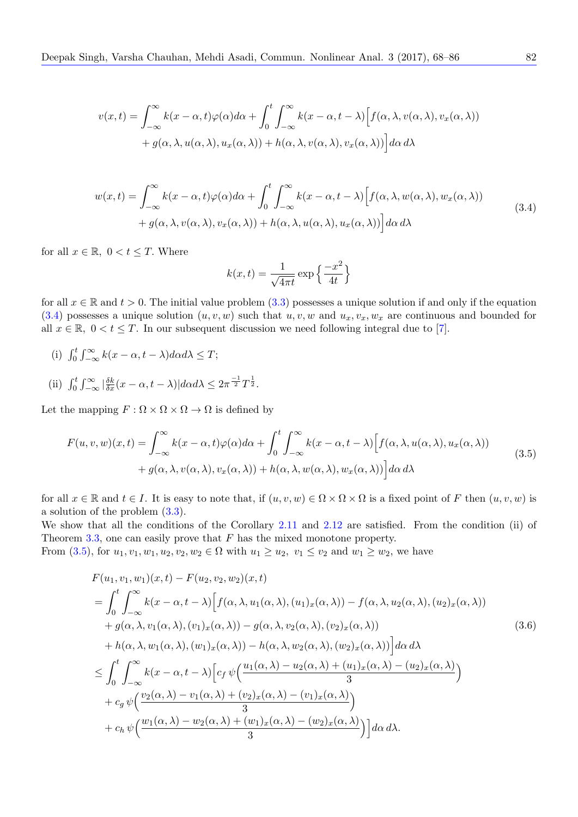$$
v(x,t) = \int_{-\infty}^{\infty} k(x - \alpha, t) \varphi(\alpha) d\alpha + \int_{0}^{t} \int_{-\infty}^{\infty} k(x - \alpha, t - \lambda) \Big[ f(\alpha, \lambda, v(\alpha, \lambda), v_x(\alpha, \lambda)) + g(\alpha, \lambda, u(\alpha, \lambda), u_x(\alpha, \lambda)) + h(\alpha, \lambda, v(\alpha, \lambda), v_x(\alpha, \lambda)) \Big] d\alpha d\lambda
$$

$$
w(x,t) = \int_{-\infty}^{\infty} k(x - \alpha, t)\varphi(\alpha)d\alpha + \int_{0}^{t} \int_{-\infty}^{\infty} k(x - \alpha, t - \lambda) \Big[ f(\alpha, \lambda, w(\alpha, \lambda), w_x(\alpha, \lambda)) + g(\alpha, \lambda, v(\alpha, \lambda), v_x(\alpha, \lambda)) + h(\alpha, \lambda, u(\alpha, \lambda), u_x(\alpha, \lambda)) \Big] d\alpha d\lambda
$$
\n(3.4)

<span id="page-14-1"></span>for all  $x \in \mathbb{R}$ ,  $0 < t \leq T$ . Where

$$
k(x,t) = \frac{1}{\sqrt{4\pi t}} \exp\left\{\frac{-x^2}{4t}\right\}
$$

for all  $x \in \mathbb{R}$  and  $t > 0$ . The initial value problem (3.3) possesses a unique solution if and only if the equation  $(3.4)$  possesses a unique solution  $(u, v, w)$  such that  $u, v, w$  and  $u_x, v_x, w_x$  are continuous and bounded for all  $x \in \mathbb{R}$ ,  $0 < t \leq T$ . In our subsequent discussion we need following integral due to [7].

- (i)  $\int_0^t \int_{-\infty}^{\infty} k(x \alpha, t \lambda) d\alpha d\lambda \leq T;$
- (ii)  $\int_0^t \int_{-\infty}^{\infty} \left| \frac{\delta k}{\delta x} (x \alpha, t \lambda) \right| d\alpha d\lambda \leq 2\pi \frac{-1}{2} T^{\frac{1}{2}}.$

Let the mapping  $F : \Omega \times \Omega \times \Omega \to \Omega$  is defined by

$$
F(u, v, w)(x, t) = \int_{-\infty}^{\infty} k(x - \alpha, t)\varphi(\alpha)d\alpha + \int_{0}^{t} \int_{-\infty}^{\infty} k(x - \alpha, t - \lambda)\Big[f(\alpha, \lambda, u(\alpha, \lambda), u_x(\alpha, \lambda)) + g(\alpha, \lambda, v(\alpha, \lambda), v_x(\alpha, \lambda)) + h(\alpha, \lambda, w(\alpha, \lambda), w_x(\alpha, \lambda))\Big] d\alpha d\lambda
$$
\n(3.5)

for all  $x \in \mathbb{R}$  and  $t \in I$ . It is easy to note that, if  $(u, v, w) \in \Omega \times \Omega \times \Omega$  is a fixed point of *F* then  $(u, v, w)$  is a solution of the problem (3.3).

We show that all the conditions of the Corollary 2.11 and 2.12 are satisfied. From the condition (ii) of Theorem 3.3, one can easily prove that *F* has the mixed monotone property.

From  $(3.5)$ , for  $u_1, v_1, w_1, u_2, v_2, w_2 \in \Omega$  $u_1, v_1, w_1, u_2, v_2, w_2 \in \Omega$  $u_1, v_1, w_1, u_2, v_2, w_2 \in \Omega$  with  $u_1 \geq u_2, v_1 \leq v_2$  and  $w_1 \geq w_2$ , we have

<span id="page-14-0"></span>
$$
F(u_1, v_1, w_1)(x, t) - F(u_2, v_2, w_2)(x, t)
$$
  
= 
$$
\int_0^t \int_{-\infty}^{\infty} k(x - \alpha, t - \lambda) \Big[ f(\alpha, \lambda, u_1(\alpha, \lambda), (u_1)_x(\alpha, \lambda)) - f(\alpha, \lambda, u_2(\alpha, \lambda), (u_2)_x(\alpha, \lambda))
$$
  
+ 
$$
g(\alpha, \lambda, v_1(\alpha, \lambda), (v_1)_x(\alpha, \lambda)) - g(\alpha, \lambda, v_2(\alpha, \lambda), (v_2)_x(\alpha, \lambda))
$$
  
+ 
$$
h(\alpha, \lambda, w_1(\alpha, \lambda), (w_1)_x(\alpha, \lambda)) - h(\alpha, \lambda, w_2(\alpha, \lambda), (w_2)_x(\alpha, \lambda)) \Big] d\alpha d\lambda
$$
  

$$
\leq \int_0^t \int_{-\infty}^{\infty} k(x - \alpha, t - \lambda) \Big[ c_f \psi\Big( \frac{u_1(\alpha, \lambda) - u_2(\alpha, \lambda) + (u_1)_x(\alpha, \lambda) - (u_2)_x(\alpha, \lambda)}{3} \Big)
$$
  
+ 
$$
c_g \psi\Big( \frac{v_2(\alpha, \lambda) - v_1(\alpha, \lambda) + (v_2)_x(\alpha, \lambda) - (v_1)_x(\alpha, \lambda)}{3} \Big)
$$
  
+ 
$$
c_h \psi\Big( \frac{w_1(\alpha, \lambda) - w_2(\alpha, \lambda) + (w_1)_x(\alpha, \lambda) - (w_2)_x(\alpha, \lambda)}{3} \Big) \Big] d\alpha d\lambda.
$$
 (3.6)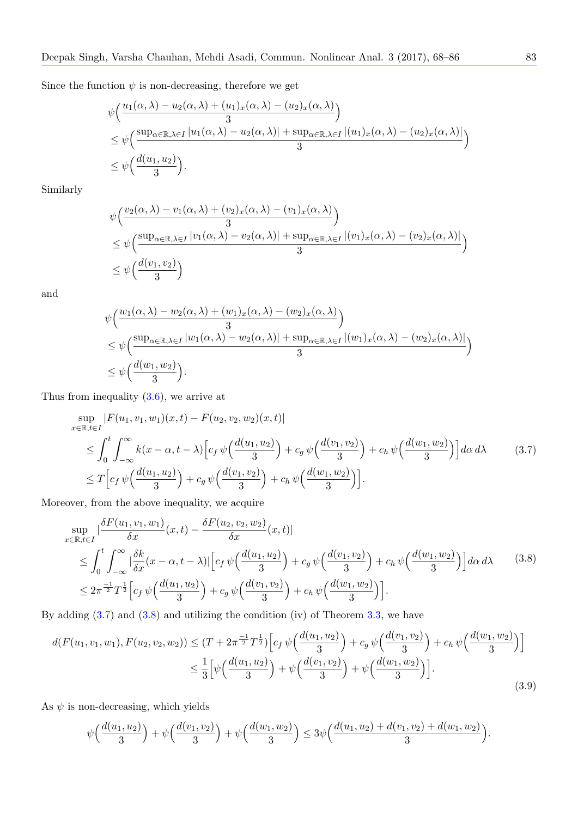Since the function  $\psi$  is non-decreasing, therefore we get

$$
\begin{split} &\psi\Big(\frac{u_1(\alpha,\lambda)-u_2(\alpha,\lambda)+(u_1)_x(\alpha,\lambda)-(u_2)_x(\alpha,\lambda)}{3}\Big) \\ &\leq \psi\Big(\frac{\sup_{\alpha\in\mathbb{R},\lambda\in I}|u_1(\alpha,\lambda)-u_2(\alpha,\lambda)|+\sup_{\alpha\in\mathbb{R},\lambda\in I}|(u_1)_x(\alpha,\lambda)-(u_2)_x(\alpha,\lambda)|}{3}\Big) \\ &\leq \psi\Big(\frac{d(u_1,u_2)}{3}\Big). \end{split}
$$

Similarly

$$
\psi\left(\frac{v_2(\alpha,\lambda) - v_1(\alpha,\lambda) + (v_2)_x(\alpha,\lambda) - (v_1)_x(\alpha,\lambda)}{3}\right)
$$
  
\n
$$
\leq \psi\left(\frac{\sup_{\alpha \in \mathbb{R}, \lambda \in I} |v_1(\alpha,\lambda) - v_2(\alpha,\lambda)| + \sup_{\alpha \in \mathbb{R}, \lambda \in I} |(v_1)_x(\alpha,\lambda) - (v_2)_x(\alpha,\lambda)|}{3}\right)
$$
  
\n
$$
\leq \psi\left(\frac{d(v_1, v_2)}{3}\right)
$$

and

$$
\begin{split} & \psi\Big(\frac{w_1(\alpha,\lambda)-w_2(\alpha,\lambda)+(w_1)_x(\alpha,\lambda)-(w_2)_x(\alpha,\lambda)}{3}\Big) \\ &\leq \psi\Big(\frac{\sup_{\alpha\in\mathbb{R},\lambda\in I}|w_1(\alpha,\lambda)-w_2(\alpha,\lambda)|+\sup_{\alpha\in\mathbb{R},\lambda\in I}|(w_1)_x(\alpha,\lambda)-(w_2)_x(\alpha,\lambda)|}{3}\Big) \\ &\leq \psi\Big(\frac{d(w_1,w_2)}{3}\Big). \end{split}
$$

Thus from inequality (3.6), we arrive at

$$
\sup_{x \in \mathbb{R}, t \in I} |F(u_1, v_1, w_1)(x, t) - F(u_2, v_2, w_2)(x, t)|
$$
\n
$$
\leq \int_0^t \int_{-\infty}^{\infty} k(x - \alpha, t - \lambda) \Big[ c_f \psi\Big(\frac{d(u_1, u_2)}{3}\Big) + c_g \psi\Big(\frac{d(v_1, v_2)}{3}\Big) + c_h \psi\Big(\frac{d(w_1, w_2)}{3}\Big) \Big] d\alpha \, d\lambda \tag{3.7}
$$
\n
$$
\leq T \Big[ c_f \psi\Big(\frac{d(u_1, u_2)}{3}\Big) + c_g \psi\Big(\frac{d(v_1, v_2)}{3}\Big) + c_h \psi\Big(\frac{d(w_1, w_2)}{3}\Big) \Big].
$$

Moreover, from the above inequality, we acquire

$$
\sup_{x \in \mathbb{R}, t \in I} \left| \frac{\delta F(u_1, v_1, w_1)}{\delta x}(x, t) - \frac{\delta F(u_2, v_2, w_2)}{\delta x}(x, t) \right|
$$
\n
$$
\leq \int_0^t \int_{-\infty}^\infty \left| \frac{\delta k}{\delta x}(x - \alpha, t - \lambda) \right| \left[ c_f \psi \left( \frac{d(u_1, u_2)}{3} \right) + c_g \psi \left( \frac{d(v_1, v_2)}{3} \right) + c_h \psi \left( \frac{d(w_1, w_2)}{3} \right) \right] d\alpha \, d\lambda \tag{3.8}
$$
\n
$$
\leq 2\pi^{\frac{-1}{2}} T^{\frac{1}{2}} \left[ c_f \psi \left( \frac{d(u_1, u_2)}{3} \right) + c_g \psi \left( \frac{d(v_1, v_2)}{3} \right) + c_h \psi \left( \frac{d(w_1, w_2)}{3} \right) \right].
$$

By adding  $(3.7)$  and  $(3.8)$  and utilizing the condition (iv) of Theorem 3.3, we have

$$
d(F(u_1, v_1, w_1), F(u_2, v_2, w_2)) \le (T + 2\pi^{\frac{-1}{2}} T^{\frac{1}{2}}) \Big[ c_f \psi\Big(\frac{d(u_1, u_2)}{3}\Big) + c_g \psi\Big(\frac{d(v_1, v_2)}{3}\Big) + c_h \psi\Big(\frac{d(w_1, w_2)}{3}\Big) \Big] \le \frac{1}{3} \Big[ \psi\Big(\frac{d(u_1, u_2)}{3}\Big) + \psi\Big(\frac{d(v_1, v_2)}{3}\Big) + \psi\Big(\frac{d(w_1, w_2)}{3}\Big) \Big].
$$
\n(3.9)

As  $\psi$  is non-decreasing, which yields

$$
\psi\Big(\frac{d(u_1,u_2)}{3}\Big)+\psi\Big(\frac{d(v_1,v_2)}{3}\Big)+\psi\Big(\frac{d(w_1,w_2)}{3}\Big)\leq 3\psi\Big(\frac{d(u_1,u_2)+d(v_1,v_2)+d(w_1,w_2)}{3}\Big).
$$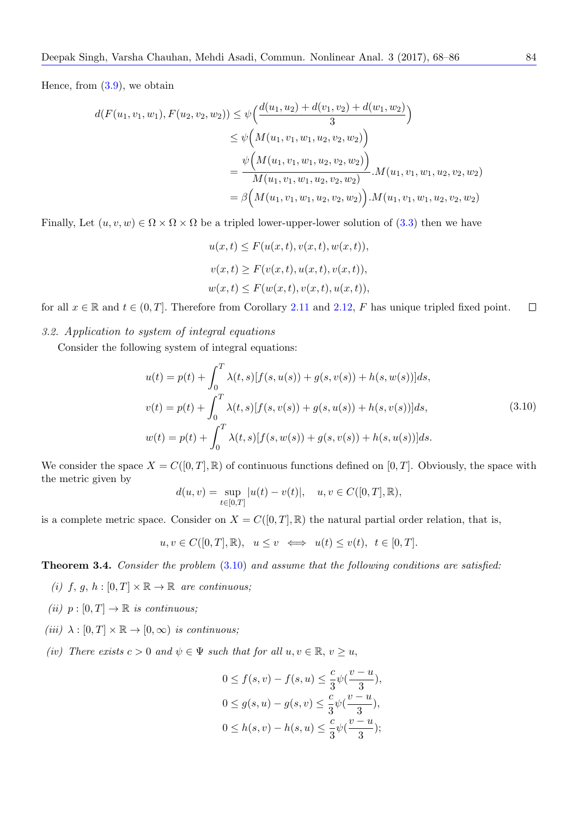Hence, from  $(3.9)$ , we obtain

$$
d(F(u_1, v_1, w_1), F(u_2, v_2, w_2)) \leq \psi\Big(\frac{d(u_1, u_2) + d(v_1, v_2) + d(w_1, w_2)}{3}\Big)
$$
  

$$
\leq \psi\Big(M(u_1, v_1, w_1, u_2, v_2, w_2)\Big)
$$
  

$$
= \frac{\psi\Big(M(u_1, v_1, w_1, u_2, v_2, w_2)\Big)}{M(u_1, v_1, w_1, u_2, v_2, w_2)} \cdot M(u_1, v_1, w_1, u_2, v_2, w_2)
$$
  

$$
= \beta\Big(M(u_1, v_1, w_1, u_2, v_2, w_2)\Big) \cdot M(u_1, v_1, w_1, u_2, v_2, w_2)
$$

Finally, Let  $(u, v, w) \in \Omega \times \Omega \times \Omega$  be a tripled lower-upper-lower solution of (3.3) then we have

$$
u(x,t) \leq F(u(x,t), v(x,t), w(x,t)),
$$
  

$$
v(x,t) \geq F(v(x,t), u(x,t), v(x,t)),
$$
  

$$
w(x,t) \leq F(w(x,t), v(x,t), u(x,t)),
$$

for all  $x \in \mathbb{R}$  and  $t \in (0,T]$ . Therefore from Corollary 2.11 and 2.12, *F* has unique tripled fixed point.  $\Box$ 

# *3.2. Application to system of integral equations*

Consider the following system of integral equation[s:](#page-11-1)

<span id="page-16-0"></span>
$$
u(t) = p(t) + \int_0^T \lambda(t, s)[f(s, u(s)) + g(s, v(s)) + h(s, w(s))]ds,
$$
  

$$
v(t) = p(t) + \int_0^T \lambda(t, s)[f(s, v(s)) + g(s, u(s)) + h(s, v(s))]ds,
$$
  

$$
w(t) = p(t) + \int_0^T \lambda(t, s)[f(s, w(s)) + g(s, v(s)) + h(s, u(s))]ds.
$$
 (3.10)

We consider the space  $X = C([0, T], \mathbb{R})$  of continuous functions defined on  $[0, T]$ . Obviously, the space with the metric given by

$$
d(u, v) = \sup_{t \in [0,T]} |u(t) - v(t)|, \quad u, v \in C([0,T], \mathbb{R}),
$$

is a complete metric space. Consider on  $X = C([0, T], \mathbb{R})$  the natural partial order relation, that is,

$$
u, v \in C([0, T], \mathbb{R}), \quad u \le v \iff u(t) \le v(t), \quad t \in [0, T].
$$

**Theorem 3.4.** *Consider the problem* (3.10) *and assume that the following conditions are satisfied:*

- *(i)*  $f, g, h : [0, T] \times \mathbb{R} \to \mathbb{R}$  *are continuous;*
- <span id="page-16-1"></span> $(ii)$   $p: [0, T] \rightarrow \mathbb{R}$  *is continuous;*
- $(iii)$   $\lambda : [0, T] \times \mathbb{R} \rightarrow [0, \infty)$  *is continuous;*
- *(iv) There exists*  $c > 0$  *and*  $\psi \in \Psi$  *such that for all*  $u, v \in \mathbb{R}, v \geq u$ ,

$$
0 \le f(s, v) - f(s, u) \le \frac{c}{3} \psi(\frac{v - u}{3}),
$$
  
\n
$$
0 \le g(s, u) - g(s, v) \le \frac{c}{3} \psi(\frac{v - u}{3}),
$$
  
\n
$$
0 \le h(s, v) - h(s, u) \le \frac{c}{3} \psi(\frac{v - u}{3});
$$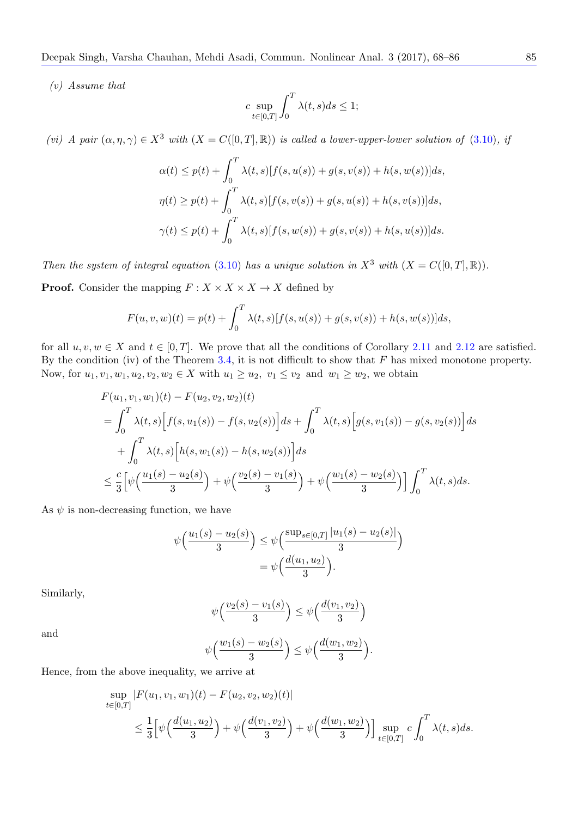*(v) Assume that*

$$
c \sup_{t \in [0,T]} \int_0^T \lambda(t,s)ds \le 1;
$$

*(vi) A pair*  $(\alpha, \eta, \gamma) \in X^3$  *with*  $(X = C([0, T], \mathbb{R}))$  *is called a lower-upper-lower solution of* (3.10)*, if* 

$$
\alpha(t) \le p(t) + \int_0^T \lambda(t, s)[f(s, u(s)) + g(s, v(s)) + h(s, w(s))]ds,
$$
  

$$
\eta(t) \ge p(t) + \int_0^T \lambda(t, s)[f(s, v(s)) + g(s, u(s)) + h(s, v(s))]ds,
$$
  

$$
\gamma(t) \le p(t) + \int_0^T \lambda(t, s)[f(s, w(s)) + g(s, v(s)) + h(s, u(s))]ds.
$$

*Then the system of integral equation* (3.10) *has a unique solution in*  $X^3$  *with*  $(X = C([0, T], \mathbb{R}))$ *.* 

**Proof.** Consider the mapping  $F: X \times X \times X \to X$  defined by

$$
F(u, v, w)(t) = p(t) + \int_0^T \lambda(t, s)[f(s, u(s)) + g(s, v(s)) + h(s, w(s))]ds,
$$

for all  $u, v, w \in X$  and  $t \in [0, T]$ . We prove that all the conditions of Corollary 2.11 and 2.12 are satisfied. By the condition (iv) of the Theorem 3.4, it is not difficult to show that *F* has mixed monotone property. Now, for  $u_1, v_1, w_1, u_2, v_2, w_2 \in X$  with  $u_1 \geq u_2, v_1 \leq v_2$  and  $w_1 \geq w_2$ , we obtain

$$
F(u_1, v_1, w_1)(t) - F(u_2, v_2, w_2)(t)
$$
  
=  $\int_0^T \lambda(t, s) \Big[ f(s, u_1(s)) - f(s, u_2(s)) \Big] ds + \int_0^T \lambda(t, s) \Big[ g(s, v_1(s)) - g(s, v_2(s)) \Big] ds$   
+  $\int_0^T \lambda(t, s) \Big[ h(s, w_1(s)) - h(s, w_2(s)) \Big] ds$   
 $\leq \frac{c}{3} \Big[ \psi \Big( \frac{u_1(s) - u_2(s)}{3} \Big) + \psi \Big( \frac{v_2(s) - v_1(s)}{3} \Big) + \psi \Big( \frac{w_1(s) - w_2(s)}{3} \Big) \Big] \int_0^T \lambda(t, s) ds.$ 

As  $\psi$  is non-decreasing function, we have

$$
\psi\left(\frac{u_1(s) - u_2(s)}{3}\right) \le \psi\left(\frac{\sup_{s \in [0,T]} |u_1(s) - u_2(s)|}{3}\right) = \psi\left(\frac{d(u_1, u_2)}{3}\right).
$$

Similarly,

$$
\psi\left(\frac{v_2(s) - v_1(s)}{3}\right) \le \psi\left(\frac{d(v_1, v_2)}{3}\right)
$$

and

$$
\psi\Big(\frac{w_1(s)-w_2(s)}{3}\Big)\leq \psi\Big(\frac{d(w_1,w_2)}{3}\Big).
$$

Hence, from the above inequality, we arrive at

$$
\sup_{t \in [0,T]} |F(u_1, v_1, w_1)(t) - F(u_2, v_2, w_2)(t)|
$$
\n
$$
\leq \frac{1}{3} \Big[ \psi\Big(\frac{d(u_1, u_2)}{3}\Big) + \psi\Big(\frac{d(v_1, v_2)}{3}\Big) + \psi\Big(\frac{d(w_1, w_2)}{3}\Big) \Big] \sup_{t \in [0,T]} c \int_0^T \lambda(t, s) ds.
$$